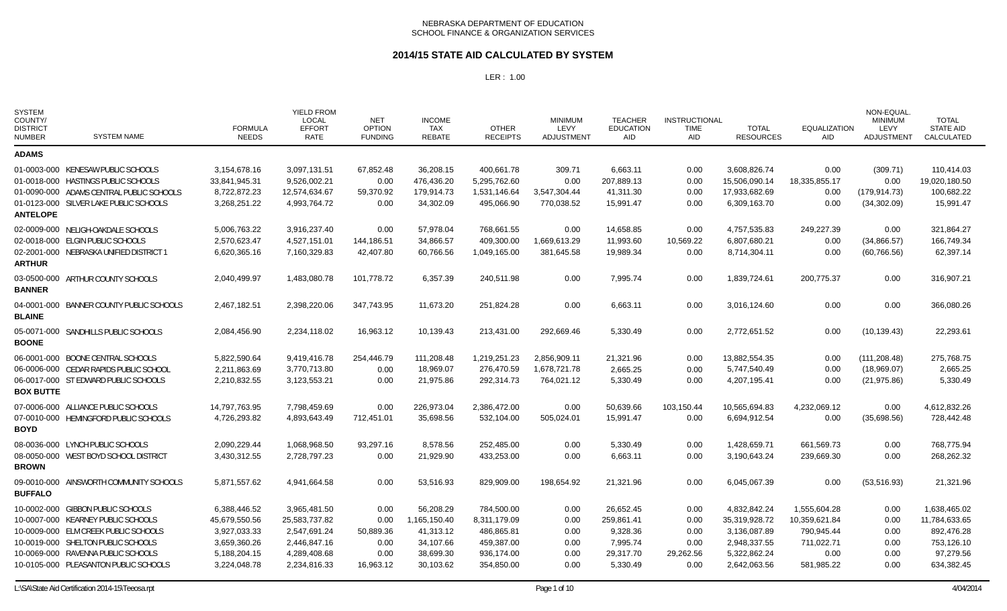### **2014/15 STATE AID CALCULATED BY SYSTEM**

| <b>SYSTEM</b><br>COUNTY/<br><b>DISTRICT</b><br><b>NUMBER</b> | <b>SYSTEM NAME</b>                                                                 | <b>FORMULA</b><br><b>NEEDS</b> | <b>YIELD FROM</b><br><b>LOCAL</b><br><b>EFFORT</b><br>RATE | <b>NET</b><br><b>OPTION</b><br><b>FUNDING</b> | <b>INCOME</b><br><b>TAX</b><br><b>REBATE</b> | <b>OTHER</b><br><b>RECEIPTS</b> | <b>MINIMUM</b><br>LEVY<br>ADJUSTMENT | <b>TEACHER</b><br><b>EDUCATION</b><br>AID | <b>INSTRUCTIONAL</b><br><b>TIME</b><br>AID | <b>TOTAL</b><br><b>RESOURCES</b> | <b>EQUALIZATION</b><br>AID | NON-EQUAL.<br><b>MINIMUM</b><br>LEVY<br><b>ADJUSTMENT</b> | <b>TOTAL</b><br><b>STATE AID</b><br>CALCULATED |
|--------------------------------------------------------------|------------------------------------------------------------------------------------|--------------------------------|------------------------------------------------------------|-----------------------------------------------|----------------------------------------------|---------------------------------|--------------------------------------|-------------------------------------------|--------------------------------------------|----------------------------------|----------------------------|-----------------------------------------------------------|------------------------------------------------|
| <b>ADAMS</b>                                                 |                                                                                    |                                |                                                            |                                               |                                              |                                 |                                      |                                           |                                            |                                  |                            |                                                           |                                                |
|                                                              | 01-0003-000 KENESAW PUBLIC SCHOOLS<br>01-0018-000 HASTINGS PUBLIC SCHOOLS          | 3,154,678.16<br>33,841,945.31  | 3,097,131.51<br>9,526,002.21                               | 67,852.48<br>0.00                             | 36,208.15<br>476,436.20                      | 400,661.78<br>5,295,762.60      | 309.71<br>0.00                       | 6,663.11<br>207,889.13                    | 0.00<br>0.00                               | 3,608,826.74<br>15,506,090.14    | 0.00<br>18,335,855.17      | (309.71)<br>0.00                                          | 110,414.03<br>19,020,180.50                    |
|                                                              | 01-0090-000 ADAMS CENTRAL PUBLIC SCHOOLS<br>01-0123-000 SILVER LAKE PUBLIC SCHOOLS | 8,722,872.23<br>3,268,251.22   | 12,574,634.67<br>4,993,764.72                              | 59,370.92<br>0.00                             | 179,914.73<br>34,302.09                      | 1,531,146.64<br>495,066.90      | 3,547,304.44<br>770,038.52           | 41,311.30<br>15,991.47                    | 0.00<br>0.00                               | 17,933,682.69<br>6,309,163.70    | 0.00<br>0.00               | (179, 914.73)<br>(34,302.09)                              | 100,682.22<br>15,991.47                        |
| <b>ANTELOPE</b>                                              |                                                                                    |                                |                                                            |                                               |                                              |                                 |                                      |                                           |                                            |                                  |                            |                                                           |                                                |
|                                                              | 02-0009-000 NELIGH-OAKDALE SCHOOLS<br>02-0018-000 ELGIN PUBLIC SCHOOLS             | 5,006,763.22<br>2,570,623.47   | 3,916,237.40<br>4,527,151.01                               | 0.00<br>144,186.51                            | 57,978.04<br>34,866.57                       | 768,661.55<br>409.300.00        | 0.00<br>1,669,613.29                 | 14,658.85<br>11,993.60                    | 0.00<br>10,569.22                          | 4,757,535.83<br>6,807,680.21     | 249,227.39<br>0.00         | 0.00<br>(34,866.57)                                       | 321,864.27<br>166,749.34                       |
| <b>ARTHUR</b>                                                | 02-2001-000 NEBRASKA UNIFIED DISTRICT 1                                            | 6,620,365.16                   | 7,160,329.83                                               | 42,407.80                                     | 60,766.56                                    | 1,049,165.00                    | 381,645.58                           | 19,989.34                                 | 0.00                                       | 8,714,304.11                     | 0.00                       | (60, 766.56)                                              | 62,397.14                                      |
| <b>BANNER</b>                                                | 03-0500-000 ARTHUR COUNTY SCHOOLS                                                  | 2,040,499.97                   | 1,483,080.78                                               | 101,778.72                                    | 6,357.39                                     | 240,511.98                      | 0.00                                 | 7,995.74                                  | 0.00                                       | 1,839,724.61                     | 200,775.37                 | 0.00                                                      | 316,907.21                                     |
| <b>BLAINE</b>                                                | 04-0001-000 BANNER COUNTY PUBLIC SCHOOLS                                           | 2,467,182.51                   | 2,398,220.06                                               | 347,743.95                                    | 11,673.20                                    | 251,824.28                      | 0.00                                 | 6,663.11                                  | 0.00                                       | 3,016,124.60                     | 0.00                       | 0.00                                                      | 366,080.26                                     |
| <b>BOONE</b>                                                 | 05-0071-000 SANDHILLS PUBLIC SCHOOLS                                               | 2,084,456.90                   | 2,234,118.02                                               | 16,963.12                                     | 10,139.43                                    | 213,431.00                      | 292,669.46                           | 5,330.49                                  | 0.00                                       | 2,772,651.52                     | 0.00                       | (10, 139.43)                                              | 22,293.61                                      |
|                                                              | 06-0001-000 BOONE CENTRAL SCHOOLS                                                  | 5,822,590.64                   | 9,419,416.78                                               | 254,446.79                                    | 111,208.48                                   | 1,219,251.23                    | 2,856,909.11                         | 21,321.96                                 | 0.00                                       | 13,882,554.35                    | 0.00                       | (111, 208.48)                                             | 275,768.75                                     |
|                                                              | 06-0006-000 CEDAR RAPIDS PUBLIC SCHOOL                                             | 2,211,863.69                   | 3,770,713.80                                               | 0.00                                          | 18,969.07                                    | 276,470.59                      | 1,678,721.78                         | 2,665.25                                  | 0.00                                       | 5,747,540.49                     | 0.00                       | (18,969.07)                                               | 2,665.25                                       |
| <b>BOX BUTTE</b>                                             | 06-0017-000 ST EDWARD PUBLIC SCHOOLS                                               | 2,210,832.55                   | 3,123,553.21                                               | 0.00                                          | 21,975.86                                    | 292,314.73                      | 764,021.12                           | 5,330.49                                  | 0.00                                       | 4,207,195.41                     | 0.00                       | (21, 975.86)                                              | 5,330.49                                       |
|                                                              | 07-0006-000 ALLIANCE PUBLIC SCHOOLS                                                | 14,797,763.95                  | 7,798,459.69                                               | 0.00                                          | 226,973.04                                   | 2,386,472.00                    | 0.00                                 | 50,639.66                                 | 103,150.44                                 | 10,565,694.83                    | 4,232,069.12               | 0.00                                                      | 4,612,832.26                                   |
| BOYD                                                         | 07-0010-000 HEMINGFORD PUBLIC SCHOOLS                                              | 4,726,293.82                   | 4,893,643.49                                               | 712,451.01                                    | 35,698.56                                    | 532,104.00                      | 505,024.01                           | 15,991.47                                 | 0.00                                       | 6,694,912.54                     | 0.00                       | (35,698.56)                                               | 728,442.48                                     |
|                                                              | 08-0036-000 LYNCH PUBLIC SCHOOLS                                                   | 2,090,229.44                   | 1,068,968.50                                               | 93,297.16                                     | 8,578.56                                     | 252,485.00                      | 0.00                                 | 5,330.49                                  | 0.00                                       | 1,428,659.71                     | 661,569.73                 | 0.00                                                      | 768,775.94                                     |
| <b>BROWN</b>                                                 | 08-0050-000 WEST BOYD SCHOOL DISTRICT                                              | 3,430,312.55                   | 2,728,797.23                                               | 0.00                                          | 21,929.90                                    | 433,253.00                      | 0.00                                 | 6,663.11                                  | 0.00                                       | 3,190,643.24                     | 239,669.30                 | 0.00                                                      | 268,262.32                                     |
| <b>BUFFALO</b>                                               | 09-0010-000 AINSWORTH COMMUNITY SCHOOLS                                            | 5,871,557.62                   | 4,941,664.58                                               | 0.00                                          | 53,516.93                                    | 829,909.00                      | 198,654.92                           | 21,321.96                                 | 0.00                                       | 6,045,067.39                     | 0.00                       | (53, 516.93)                                              | 21,321.96                                      |
|                                                              | 10-0002-000 GIBBON PUBLIC SCHOOLS                                                  | 6,388,446.52                   | 3,965,481.50                                               | 0.00                                          | 56,208.29                                    | 784,500.00                      | 0.00                                 | 26,652.45                                 | 0.00                                       | 4,832,842.24                     | 1,555,604.28               | 0.00                                                      | 1,638,465.02                                   |
|                                                              | 10-0007-000 KEARNEY PUBLIC SCHOOLS                                                 | 45,679,550.56                  | 25,583,737.82                                              | 0.00                                          | 1,165,150.40                                 | 8,311,179.09                    | 0.00                                 | 259,861.41                                | 0.00                                       | 35,319,928.72                    | 10,359,621.84              | 0.00                                                      | 11,784,633.65                                  |
|                                                              | 10-0009-000 ELM CREEK PUBLIC SCHOOLS                                               | 3,927,033.33                   | 2,547,691.24                                               | 50,889.36                                     | 41,313.12                                    | 486,865.81                      | 0.00                                 | 9,328.36                                  | 0.00                                       | 3,136,087.89                     | 790,945.44                 | 0.00                                                      | 892,476.28                                     |
|                                                              | 10-0019-000 SHELTON PUBLIC SCHOOLS                                                 | 3,659,360.26                   | 2,446,847.16                                               | 0.00                                          | 34,107.66                                    | 459,387.00                      | 0.00                                 | 7,995.74                                  | 0.00                                       | 2,948,337.55                     | 711,022.71                 | 0.00                                                      | 753,126.10                                     |
|                                                              | 10-0069-000 RAVENNA PUBLIC SCHOOLS<br>10-0105-000 PLEASANTON PUBLIC SCHOOLS        | 5,188,204.15<br>3,224,048.78   | 4,289,408.68<br>2,234,816.33                               | 0.00<br>16,963.12                             | 38,699.30<br>30,103.62                       | 936,174.00<br>354,850.00        | 0.00<br>0.00                         | 29,317.70<br>5,330.49                     | 29,262.56<br>0.00                          | 5,322,862.24<br>2,642,063.56     | 0.00<br>581,985.22         | 0.00<br>0.00                                              | 97,279.56<br>634,382.45                        |
|                                                              |                                                                                    |                                |                                                            |                                               |                                              |                                 |                                      |                                           |                                            |                                  |                            |                                                           |                                                |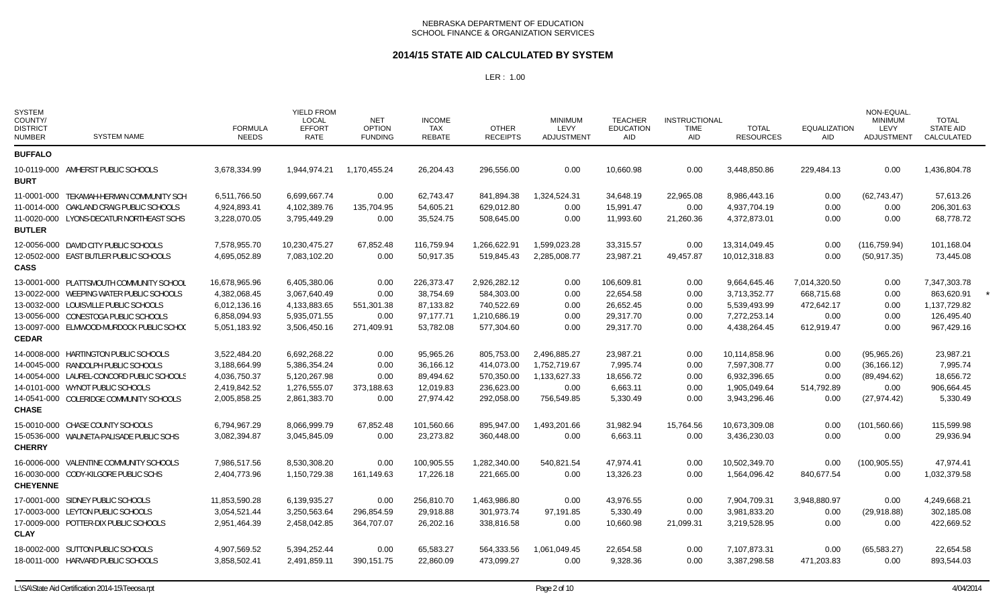### **2014/15 STATE AID CALCULATED BY SYSTEM**

| <b>SYSTEM</b><br>COUNTY/<br><b>DISTRICT</b><br><b>NUMBER</b> | <b>SYSTEM NAME</b>                        | <b>FORMULA</b><br><b>NEEDS</b> | <b>YIELD FROM</b><br><b>LOCAL</b><br><b>EFFORT</b><br><b>RATE</b> | <b>NET</b><br><b>OPTION</b><br><b>FUNDING</b> | <b>INCOME</b><br><b>TAX</b><br>REBATE | <b>OTHER</b><br><b>RECEIPTS</b> | <b>MINIMUM</b><br>LEVY<br><b>ADJUSTMENT</b> | <b>TEACHER</b><br><b>EDUCATION</b><br>AID | <b>INSTRUCTIONAL</b><br><b>TIME</b><br>AID | <b>TOTAL</b><br><b>RESOURCES</b> | <b>EQUALIZATION</b><br><b>AID</b> | NON-EQUAL.<br><b>MINIMUM</b><br>LEVY<br>ADJUSTMENT | <b>TOTAL</b><br><b>STATE AID</b><br>CALCULATED |  |
|--------------------------------------------------------------|-------------------------------------------|--------------------------------|-------------------------------------------------------------------|-----------------------------------------------|---------------------------------------|---------------------------------|---------------------------------------------|-------------------------------------------|--------------------------------------------|----------------------------------|-----------------------------------|----------------------------------------------------|------------------------------------------------|--|
| <b>BUFFALO</b>                                               |                                           |                                |                                                                   |                                               |                                       |                                 |                                             |                                           |                                            |                                  |                                   |                                                    |                                                |  |
| <b>BURT</b>                                                  | 10-0119-000 AMHERST PUBLIC SCHOOLS        | 3,678,334.99                   | 1.944.974.21                                                      | 1.170.455.24                                  | 26,204.43                             | 296,556.00                      | 0.00                                        | 10,660.98                                 | 0.00                                       | 3,448,850.86                     | 229,484.13                        | 0.00                                               | 1,436,804.78                                   |  |
|                                                              | 11-0001-000 TEKAMAH-HERMAN COMMUNITY SCH  | 6,511,766.50                   | 6,699,667.74                                                      | 0.00                                          | 62,743.47                             | 841,894.38                      | 1,324,524.31                                | 34,648.19                                 | 22,965.08                                  | 8,986,443.16                     | 0.00                              | (62, 743.47)                                       | 57,613.26                                      |  |
|                                                              | 11-0014-000 OAKLAND CRAIG PUBLIC SCHOOLS  | 4,924,893.41                   | 4,102,389.76                                                      | 135,704.95                                    | 54,605.21                             | 629,012.80                      | 0.00                                        | 15,991.47                                 | 0.00                                       | 4,937,704.19                     | 0.00                              | 0.00                                               | 206,301.63                                     |  |
| <b>BUTLER</b>                                                | 11-0020-000 LYONS-DECATUR NORTHEAST SCHS  | 3,228,070.05                   | 3,795,449.29                                                      | 0.00                                          | 35,524.75                             | 508,645.00                      | 0.00                                        | 11,993.60                                 | 21,260.36                                  | 4,372,873.01                     | 0.00                              | 0.00                                               | 68,778.72                                      |  |
|                                                              | 12-0056-000 DAVID CITY PUBLIC SCHOOLS     | 7,578,955.70                   | 10,230,475.27                                                     | 67,852.48                                     | 116,759.94                            | 1,266,622.91                    | 1,599,023.28                                | 33,315.57                                 | 0.00                                       | 13,314,049.45                    | 0.00                              | (116, 759.94)                                      | 101,168.04                                     |  |
| <b>CASS</b>                                                  | 12-0502-000 EAST BUTLER PUBLIC SCHOOLS    | 4,695,052.89                   | 7,083,102.20                                                      | 0.00                                          | 50,917.35                             | 519,845.43                      | 2,285,008.77                                | 23,987.21                                 | 49,457.87                                  | 10,012,318.83                    | 0.00                              | (50, 917.35)                                       | 73,445.08                                      |  |
|                                                              | 13-0001-000 PLATTSMOUTH COMMUNITY SCHOOL  | 16,678,965.96                  | 6,405,380.06                                                      | 0.00                                          | 226,373.47                            | 2,926,282.12                    | 0.00                                        | 106,609.81                                | 0.00                                       | 9,664,645.46                     | 7,014,320.50                      | 0.00                                               | 7,347,303.78                                   |  |
|                                                              | 13-0022-000 WEEPING WATER PUBLIC SCHOOLS  | 4,382,068.45                   | 3,067,640.49                                                      | 0.00                                          | 38,754.69                             | 584,303.00                      | 0.00                                        | 22,654.58                                 | 0.00                                       | 3,713,352.77                     | 668,715.68                        | 0.00                                               | 863,620.91                                     |  |
|                                                              | 13-0032-000 LOUISVILLE PUBLIC SCHOOLS     | 6,012,136.16                   | 4,133,883.65                                                      | 551,301.38                                    | 87,133.82                             | 740,522.69                      | 0.00                                        | 26,652.45                                 | 0.00                                       | 5,539,493.99                     | 472,642.17                        | 0.00                                               | 1,137,729.82                                   |  |
|                                                              | 13-0056-000 CONESTOGA PUBLIC SCHOOLS      | 6,858,094.93                   | 5,935,071.55                                                      | 0.00                                          | 97,177.71                             | 1,210,686.19                    | 0.00                                        | 29,317.70                                 | 0.00                                       | 7,272,253.14                     | 0.00                              | 0.00                                               | 126,495.40                                     |  |
| <b>CEDAR</b>                                                 | 13-0097-000 ELMWOOD-MURDOCK PUBLIC SCHOO  | 5,051,183.92                   | 3,506,450.16                                                      | 271,409.91                                    | 53,782.08                             | 577,304.60                      | 0.00                                        | 29,317.70                                 | 0.00                                       | 4,438,264.45                     | 612,919.47                        | 0.00                                               | 967,429.16                                     |  |
|                                                              | 14-0008-000 HARTINGTON PUBLIC SCHOOLS     | 3,522,484.20                   | 6,692,268.22                                                      | 0.00                                          | 95,965.26                             | 805,753.00                      | 2.496.885.27                                | 23,987.21                                 | 0.00                                       | 10,114,858.96                    | 0.00                              | (95,965.26)                                        | 23.987.21                                      |  |
|                                                              | 14-0045-000 RANDOLPH PUBLIC SCHOOLS       | 3,188,664.99                   | 5,386,354.24                                                      | 0.00                                          | 36,166.12                             | 414,073.00                      | 1,752,719.67                                | 7,995.74                                  | 0.00                                       | 7,597,308.77                     | 0.00                              | (36, 166.12)                                       | 7,995.74                                       |  |
|                                                              | 14-0054-000 LAUREL-CONCORD PUBLIC SCHOOLS | 4,036,750.37                   | 5,120,267.98                                                      | 0.00                                          | 89,494.62                             | 570,350.00                      | 1,133,627.33                                | 18,656.72                                 | 0.00                                       | 6,932,396.65                     | 0.00                              | (89, 494.62)                                       | 18,656.72                                      |  |
|                                                              | 14-0101-000 WYNOT PUBLIC SCHOOLS          | 2,419,842.52                   | 1,276,555.07                                                      | 373,188.63                                    | 12,019.83                             | 236,623.00                      | 0.00                                        | 6,663.11                                  | 0.00                                       | 1,905,049.64                     | 514,792.89                        | 0.00                                               | 906,664.45                                     |  |
| <b>CHASE</b>                                                 | 14-0541-000 COLERIDGE COMMUNITY SCHOOLS   | 2,005,858.25                   | 2,861,383.70                                                      | 0.00                                          | 27,974.42                             | 292,058.00                      | 756,549.85                                  | 5,330.49                                  | 0.00                                       | 3,943,296.46                     | 0.00                              | (27, 974.42)                                       | 5,330.49                                       |  |
|                                                              | 15-0010-000 CHASE COUNTY SCHOOLS          | 6,794,967.29                   | 8,066,999.79                                                      | 67,852.48                                     | 101,560.66                            | 895,947.00                      | 1,493,201.66                                | 31,982.94                                 | 15,764.56                                  | 10,673,309.08                    | 0.00                              | (101, 560.66)                                      | 115,599.98                                     |  |
| <b>CHERRY</b>                                                | 15-0536-000 WAUNETA-PALISADE PUBLIC SCHS  | 3,082,394.87                   | 3,045,845.09                                                      | 0.00                                          | 23,273.82                             | 360,448.00                      | 0.00                                        | 6,663.11                                  | 0.00                                       | 3,436,230.03                     | 0.00                              | 0.00                                               | 29,936.94                                      |  |
|                                                              | 16-0006-000 VALENTINE COMMUNITY SCHOOLS   | 7,986,517.56                   | 8,530,308.20                                                      | 0.00                                          | 100,905.55                            | 1,282,340.00                    | 540,821.54                                  | 47,974.41                                 | 0.00                                       | 10,502,349.70                    | 0.00                              | (100, 905.55)                                      | 47.974.41                                      |  |
| <b>CHEYENNE</b>                                              | 16-0030-000 CODY-KILGORE PUBLIC SCHS      | 2,404,773.96                   | 1,150,729.38                                                      | 161,149.63                                    | 17,226.18                             | 221,665.00                      | 0.00                                        | 13,326.23                                 | 0.00                                       | 1,564,096.42                     | 840,677.54                        | 0.00                                               | 1,032,379.58                                   |  |
|                                                              | 17-0001-000 SIDNEY PUBLIC SCHOOLS         | 11,853,590.28                  | 6,139,935.27                                                      | 0.00                                          | 256,810.70                            | 1,463,986.80                    | 0.00                                        | 43,976.55                                 | 0.00                                       | 7,904,709.31                     | 3,948,880.97                      | 0.00                                               | 4,249,668.21                                   |  |
|                                                              | 17-0003-000 LEYTON PUBLIC SCHOOLS         | 3,054,521.44                   | 3,250,563.64                                                      | 296,854.59                                    | 29,918.88                             | 301,973.74                      | 97,191.85                                   | 5,330.49                                  | 0.00                                       | 3,981,833.20                     | 0.00                              | (29, 918.88)                                       | 302,185.08                                     |  |
| <b>CLAY</b>                                                  | 17-0009-000 POTTER-DIX PUBLIC SCHOOLS     | 2,951,464.39                   | 2,458,042.85                                                      | 364,707.07                                    | 26,202.16                             | 338,816.58                      | 0.00                                        | 10,660.98                                 | 21,099.31                                  | 3,219,528.95                     | 0.00                              | 0.00                                               | 422,669.52                                     |  |
|                                                              | 18-0002-000 SUTTON PUBLIC SCHOOLS         | 4,907,569.52                   | 5,394,252.44                                                      | 0.00                                          | 65,583.27                             | 564,333.56                      | 1,061,049.45                                | 22,654.58                                 | 0.00                                       | 7,107,873.31                     | 0.00                              | (65, 583.27)                                       | 22,654.58                                      |  |
|                                                              | 18-0011-000 HARVARD PUBLIC SCHOOLS        | 3,858,502.41                   | 2,491,859.11                                                      | 390,151.75                                    | 22,860.09                             | 473,099.27                      | 0.00                                        | 9,328.36                                  | 0.00                                       | 3,387,298.58                     | 471,203.83                        | 0.00                                               | 893,544.03                                     |  |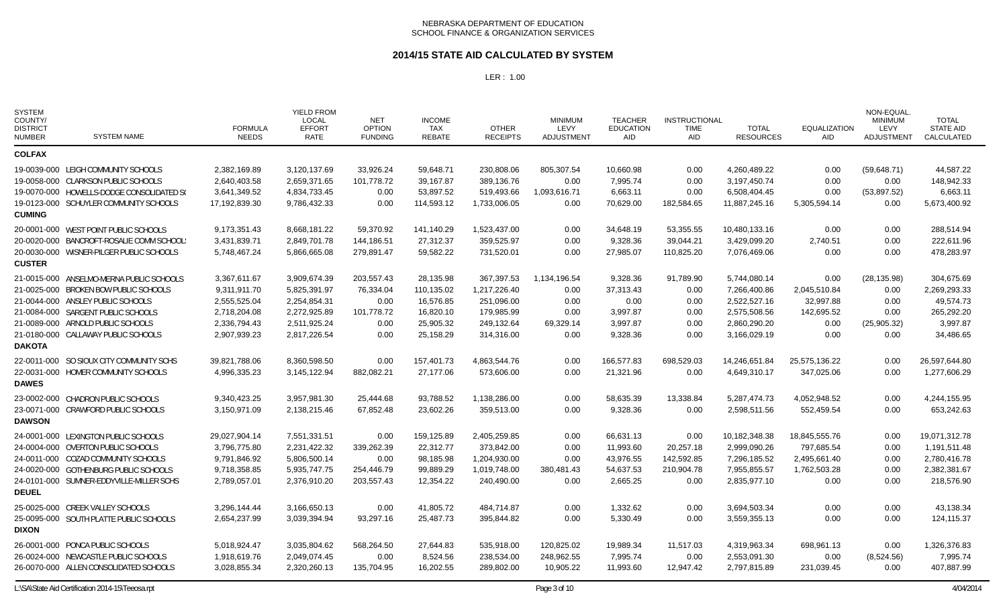### **2014/15 STATE AID CALCULATED BY SYSTEM**

| <b>SYSTEM</b><br>COUNTY/<br><b>DISTRICT</b><br><b>NUMBER</b> | <b>SYSTEM NAME</b>                        | <b>FORMULA</b><br><b>NEEDS</b> | <b>YIELD FROM</b><br><b>LOCAL</b><br><b>EFFORT</b><br><b>RATE</b> | <b>NET</b><br><b>OPTION</b><br><b>FUNDING</b> | <b>INCOME</b><br>TAX<br><b>REBATE</b> | <b>OTHER</b><br><b>RECEIPTS</b> | <b>MINIMUM</b><br>LEVY<br>ADJUSTMENT | <b>TEACHER</b><br><b>EDUCATION</b><br>AID | <b>INSTRUCTIONAL</b><br><b>TIME</b><br>AID | <b>TOTAL</b><br><b>RESOURCES</b> | <b>EQUALIZATION</b><br>AID | NON-EQUAL.<br><b>MINIMUM</b><br>LEVY<br>ADJUSTMENT | <b>TOTAL</b><br><b>STATE AID</b><br>CALCULATED |
|--------------------------------------------------------------|-------------------------------------------|--------------------------------|-------------------------------------------------------------------|-----------------------------------------------|---------------------------------------|---------------------------------|--------------------------------------|-------------------------------------------|--------------------------------------------|----------------------------------|----------------------------|----------------------------------------------------|------------------------------------------------|
| <b>COLFAX</b>                                                |                                           |                                |                                                                   |                                               |                                       |                                 |                                      |                                           |                                            |                                  |                            |                                                    |                                                |
|                                                              | 19-0039-000 LEIGH COMMUNITY SCHOOLS       | 2,382,169.89                   | 3,120,137.69                                                      | 33,926.24                                     | 59,648.71                             | 230,808.06                      | 805,307.54                           | 10,660.98                                 | 0.00                                       | 4,260,489.22                     | 0.00                       | (59,648.71)                                        | 44,587.22                                      |
|                                                              | 19-0058-000 CLARKSON PUBLIC SCHOOLS       | 2,640,403.58                   | 2,659,371.65                                                      | 101.778.72                                    | 39,167.87                             | 389,136.76                      | 0.00                                 | 7,995.74                                  | 0.00                                       | 3.197.450.74                     | 0.00                       | 0.00                                               | 148,942.33                                     |
|                                                              | 19-0070-000 HOWELLS-DODGE CONSOLIDATED S( | 3,641,349.52                   | 4,834,733.45                                                      | 0.00                                          | 53,897.52                             | 519,493.66                      | 1,093,616.71                         | 6,663.11                                  | 0.00                                       | 6,508,404.45                     | 0.00                       | (53,897.52)                                        | 6,663.11                                       |
|                                                              | 19-0123-000 SCHUYLER COMMUNITY SCHOOLS    | 17,192,839.30                  | 9,786,432.33                                                      | 0.00                                          | 114,593.12                            | 1,733,006.05                    | 0.00                                 | 70,629.00                                 | 182,584.65                                 | 11,887,245.16                    | 5,305,594.14               | 0.00                                               | 5,673,400.92                                   |
| <b>CUMING</b>                                                |                                           |                                |                                                                   |                                               |                                       |                                 |                                      |                                           |                                            |                                  |                            |                                                    |                                                |
|                                                              | 20-0001-000 WEST POINT PUBLIC SCHOOLS     | 9,173,351.43                   | 8,668,181.22                                                      | 59,370.92                                     | 141,140.29                            | 1,523,437.00                    | 0.00                                 | 34,648.19                                 | 53,355.55                                  | 10,480,133.16                    | 0.00                       | 0.00                                               | 288,514.94                                     |
|                                                              | 20-0020-000 BANCROFT-ROSALIE COMM SCHOOL! | 3,431,839.71                   | 2,849,701.78                                                      | 144,186.51                                    | 27,312.37                             | 359,525.97                      | 0.00                                 | 9,328.36                                  | 39,044.21                                  | 3,429,099.20                     | 2,740.51                   | 0.00                                               | 222,611.96                                     |
|                                                              | 20-0030-000 WISNER-PILGER PUBLIC SCHOOLS  | 5,748,467.24                   | 5,866,665.08                                                      | 279,891.47                                    | 59,582.22                             | 731,520.01                      | 0.00                                 | 27,985.07                                 | 110,825.20                                 | 7,076,469.06                     | 0.00                       | 0.00                                               | 478,283.97                                     |
| <b>CUSTER</b>                                                |                                           |                                |                                                                   |                                               |                                       |                                 |                                      |                                           |                                            |                                  |                            |                                                    |                                                |
|                                                              | 21-0015-000 ANSELMO-MERNA PUBLIC SCHOOLS  | 3,367,611.67                   | 3,909,674.39                                                      | 203,557.43                                    | 28,135.98                             | 367,397.53                      | 1,134,196.54                         | 9,328.36                                  | 91,789.90                                  | 5,744,080.14                     | 0.00                       | (28, 135.98)                                       | 304,675.69                                     |
|                                                              | 21-0025-000 BROKEN BOW PUBLIC SCHOOLS     | 9,311,911.70                   | 5,825,391.97                                                      | 76,334.04                                     | 110,135.02                            | 1,217,226.40                    | 0.00                                 | 37,313.43                                 | 0.00                                       | 7,266,400.86                     | 2,045,510.84               | 0.00                                               | 2,269,293.33                                   |
|                                                              | 21-0044-000 ANSLEY PUBLIC SCHOOLS         | 2,555,525.04                   | 2,254,854.31                                                      | 0.00                                          | 16,576.85                             | 251,096.00                      | 0.00                                 | 0.00                                      | 0.00                                       | 2,522,527.16                     | 32,997.88                  | 0.00                                               | 49,574.73                                      |
|                                                              | 21-0084-000 SARGENT PUBLIC SCHOOLS        | 2,718,204.08                   | 2,272,925.89                                                      | 101,778.72                                    | 16,820.10                             | 179,985.99                      | 0.00                                 | 3,997.87                                  | 0.00                                       | 2,575,508.56                     | 142,695.52                 | 0.00                                               | 265,292.20                                     |
|                                                              | 21-0089-000 ARNOLD PUBLIC SCHOOLS         | 2,336,794.43                   | 2,511,925.24                                                      | 0.00                                          | 25,905.32                             | 249,132.64                      | 69,329.14                            | 3,997.87                                  | 0.00                                       | 2,860,290.20                     | 0.00                       | (25,905.32)                                        | 3,997.87                                       |
|                                                              | 21-0180-000 CALLAWAY PUBLIC SCHOOLS       | 2,907,939.23                   | 2,817,226.54                                                      | 0.00                                          | 25,158.29                             | 314,316.00                      | 0.00                                 | 9,328.36                                  | 0.00                                       | 3,166,029.19                     | 0.00                       | 0.00                                               | 34,486.65                                      |
| <b>DAKOTA</b>                                                |                                           |                                |                                                                   |                                               |                                       |                                 |                                      |                                           |                                            |                                  |                            |                                                    |                                                |
|                                                              | 22-0011-000 SO SIOUX CITY COMMUNITY SCHS  | 39,821,788.06                  | 8,360,598.50                                                      | 0.00                                          | 157,401.73                            | 4,863,544.76                    | 0.00                                 | 166,577.83                                | 698,529.03                                 | 14,246,651.84                    | 25,575,136.22              | 0.00                                               | 26,597,644.80                                  |
|                                                              | 22-0031-000 HOMER COMMUNITY SCHOOLS       | 4,996,335.23                   | 3,145,122.94                                                      | 882,082.21                                    | 27,177.06                             | 573,606.00                      | 0.00                                 | 21,321.96                                 | 0.00                                       | 4,649,310.17                     | 347,025.06                 | 0.00                                               | 1,277,606.29                                   |
| <b>DAWES</b>                                                 |                                           |                                |                                                                   |                                               |                                       |                                 |                                      |                                           |                                            |                                  |                            |                                                    |                                                |
|                                                              | 23-0002-000 CHADRON PUBLIC SCHOOLS        | 9,340,423.25                   | 3,957,981.30                                                      | 25,444.68                                     | 93,788.52                             | 1,138,286.00                    | 0.00                                 | 58,635.39                                 | 13,338.84                                  | 5,287,474.73                     | 4,052,948.52               | 0.00                                               | 4,244,155.95                                   |
|                                                              | 23-0071-000 CRAWFORD PUBLIC SCHOOLS       | 3,150,971.09                   | 2,138,215.46                                                      | 67,852.48                                     | 23,602.26                             | 359,513.00                      | 0.00                                 | 9,328.36                                  | 0.00                                       | 2,598,511.56                     | 552,459.54                 | 0.00                                               | 653,242.63                                     |
| <b>DAWSON</b>                                                |                                           |                                |                                                                   |                                               |                                       |                                 |                                      |                                           |                                            |                                  |                            |                                                    |                                                |
|                                                              | 24-0001-000 LEXINGTON PUBLIC SCHOOLS      | 29,027,904.14                  | 7,551,331.51                                                      | 0.00                                          | 159,125.89                            | 2,405,259.85                    | 0.00                                 | 66,631.13                                 | 0.00                                       | 10,182,348.38                    | 18,845,555.76              | 0.00                                               | 19,071,312.78                                  |
|                                                              | 24-0004-000 OVERTON PUBLIC SCHOOLS        | 3,796,775.80                   | 2,231,422.32                                                      | 339,262.39                                    | 22,312.77                             | 373,842.00                      | 0.00                                 | 11,993.60                                 | 20,257.18                                  | 2,999,090.26                     | 797,685.54                 | 0.00                                               | 1,191,511.48                                   |
|                                                              | 24-0011-000 COZAD COMMUNITY SCHOOLS       | 9,791,846.92                   | 5,806,500.14                                                      | 0.00                                          | 98,185.98                             | 1,204,930.00                    | 0.00                                 | 43,976.55                                 | 142,592.85                                 | 7,296,185.52                     | 2,495,661.40               | 0.00                                               | 2,780,416.78                                   |
|                                                              | 24-0020-000 GOTHENBURG PUBLIC SCHOOLS     | 9,718,358.85                   | 5,935,747.75                                                      | 254,446.79                                    | 99,889.29                             | 1,019,748.00                    | 380,481.43                           | 54,637.53                                 | 210,904.78                                 | 7,955,855.57                     | 1,762,503.28               | 0.00                                               | 2,382,381.67                                   |
|                                                              | 24-0101-000 SUMNER-EDDYVILLE-MILLER SCHS  | 2,789,057.01                   | 2,376,910.20                                                      | 203,557.43                                    | 12,354.22                             | 240,490.00                      | 0.00                                 | 2,665.25                                  | 0.00                                       | 2,835,977.10                     | 0.00                       | 0.00                                               | 218,576.90                                     |
| <b>DEUEL</b>                                                 |                                           |                                |                                                                   |                                               |                                       |                                 |                                      |                                           |                                            |                                  |                            |                                                    |                                                |
|                                                              | 25-0025-000 CREEK VALLEY SCHOOLS          | 3,296,144.44                   | 3,166,650.13                                                      | 0.00                                          | 41,805.72                             | 484,714.87                      | 0.00                                 | 1,332.62                                  | 0.00                                       | 3,694,503.34                     | 0.00                       | 0.00                                               | 43,138.34                                      |
|                                                              | 25-0095-000 SOUTH PLATTE PUBLIC SCHOOLS   | 2,654,237.99                   | 3,039,394.94                                                      | 93,297.16                                     | 25,487.73                             | 395,844.82                      | 0.00                                 | 5,330.49                                  | 0.00                                       | 3,559,355.13                     | 0.00                       | 0.00                                               | 124,115.37                                     |
| <b>DIXON</b>                                                 |                                           |                                |                                                                   |                                               |                                       |                                 |                                      |                                           |                                            |                                  |                            |                                                    |                                                |
|                                                              | 26-0001-000 PONCA PUBLIC SCHOOLS          | 5,018,924.47                   | 3,035,804.62                                                      | 568.264.50                                    | 27,644.83                             | 535,918.00                      | 120,825.02                           | 19,989.34                                 | 11.517.03                                  | 4,319,963.34                     | 698,961.13                 | 0.00                                               | 1,326,376.83                                   |
|                                                              | 26-0024-000 NEWCASTLE PUBLIC SCHOOLS      | 1,918,619.76                   | 2,049,074.45                                                      | 0.00                                          | 8,524.56                              | 238,534.00                      | 248,962.55                           | 7,995.74                                  | 0.00                                       | 2,553,091.30                     | 0.00                       | (8,524.56)                                         | 7,995.74                                       |
|                                                              | 26-0070-000 ALLEN CONSOLIDATED SCHOOLS    | 3,028,855.34                   | 2,320,260.13                                                      | 135,704.95                                    | 16,202.55                             | 289,802.00                      | 10,905.22                            | 11,993.60                                 | 12,947.42                                  | 2,797,815.89                     | 231,039.45                 | 0.00                                               | 407,887.99                                     |
|                                                              |                                           |                                |                                                                   |                                               |                                       |                                 |                                      |                                           |                                            |                                  |                            |                                                    |                                                |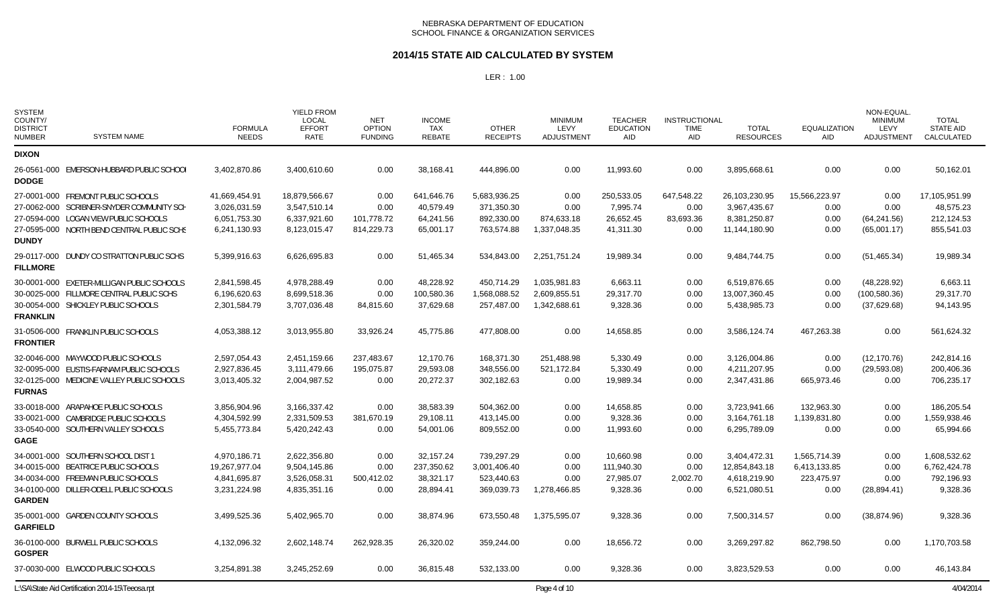#### **2014/15 STATE AID CALCULATED BY SYSTEM**

| <b>SYSTEM</b><br>COUNTY/<br><b>DISTRICT</b><br><b>NUMBER</b> | <b>SYSTEM NAME</b>                               | <b>FORMULA</b><br><b>NEEDS</b> | <b>YIELD FROM</b><br>LOCAL<br><b>EFFORT</b><br><b>RATE</b> | <b>NET</b><br><b>OPTION</b><br><b>FUNDING</b> | <b>INCOME</b><br><b>TAX</b><br><b>REBATE</b> | <b>OTHER</b><br><b>RECEIPTS</b> | <b>MINIMUM</b><br>LEVY<br>ADJUSTMENT | <b>TEACHER</b><br><b>EDUCATION</b><br><b>AID</b> | <b>INSTRUCTIONAL</b><br><b>TIME</b><br>AID | <b>TOTAL</b><br><b>RESOURCES</b> | <b>EQUALIZATION</b><br><b>AID</b> | NON-EQUAL.<br><b>MINIMUM</b><br><b>LEVY</b><br><b>ADJUSTMENT</b> | <b>TOTAL</b><br><b>STATE AID</b><br>CALCULATED |
|--------------------------------------------------------------|--------------------------------------------------|--------------------------------|------------------------------------------------------------|-----------------------------------------------|----------------------------------------------|---------------------------------|--------------------------------------|--------------------------------------------------|--------------------------------------------|----------------------------------|-----------------------------------|------------------------------------------------------------------|------------------------------------------------|
| <b>DIXON</b>                                                 |                                                  |                                |                                                            |                                               |                                              |                                 |                                      |                                                  |                                            |                                  |                                   |                                                                  |                                                |
| <b>DODGE</b>                                                 | 26-0561-000 EMERSON-HUBBARD PUBLIC SCHOOL        | 3,402,870.86                   | 3,400,610.60                                               | 0.00                                          | 38.168.41                                    | 444.896.00                      | 0.00                                 | 11,993.60                                        | 0.00                                       | 3,895,668.61                     | 0.00                              | 0.00                                                             | 50,162.01                                      |
|                                                              | 27-0001-000 FREMONT PUBLIC SCHOOLS               | 41,669,454.91                  | 18,879,566.67                                              | 0.00                                          | 641,646.76                                   | 5,683,936.25                    | 0.00                                 | 250,533.05                                       | 647,548.22                                 | 26,103,230.95                    | 15,566,223.97                     | 0.00                                                             | 17,105,951.99                                  |
|                                                              | 27-0062-000 SCRIBNER-SNYDER COMMUNITY SCH        | 3,026,031.59                   | 3,547,510.14                                               | 0.00                                          | 40,579.49                                    | 371,350.30                      | 0.00                                 | 7,995.74                                         | 0.00                                       | 3,967,435.67                     | 0.00                              | 0.00                                                             | 48,575.23                                      |
|                                                              | 27-0594-000 LOGAN VIEW PUBLIC SCHOOLS            | 6,051,753.30                   | 6,337,921.60                                               | 101,778.72                                    | 64,241.56                                    | 892,330.00                      | 874,633.18                           | 26,652.45                                        | 83,693.36                                  | 8,381,250.87                     | 0.00                              | (64, 241.56)                                                     | 212,124.53                                     |
| <b>DUNDY</b>                                                 | 27-0595-000 NORTH BEND CENTRAL PUBLIC SCHS       | 6,241,130.93                   | 8,123,015.47                                               | 814,229.73                                    | 65,001.17                                    | 763,574.88                      | 1,337,048.35                         | 41,311.30                                        | 0.00                                       | 11,144,180.90                    | 0.00                              | (65,001.17)                                                      | 855,541.03                                     |
| <b>FILLMORE</b>                                              | 29-0117-000 DUNDY CO STRATTON PUBLIC SCHS        | 5,399,916.63                   | 6,626,695.83                                               | 0.00                                          | 51,465.34                                    | 534,843.00                      | 2,251,751.24                         | 19,989.34                                        | 0.00                                       | 9,484,744.75                     | 0.00                              | (51, 465.34)                                                     | 19,989.34                                      |
|                                                              | 30-0001-000 EXETER-MILLIGAN PUBLIC SCHOOLS       | 2,841,598.45                   | 4,978,288.49                                               | 0.00                                          | 48,228.92                                    | 450,714.29                      | 1,035,981.83                         | 6,663.11                                         | 0.00                                       | 6,519,876.65                     | 0.00                              | (48, 228.92)                                                     | 6,663.11                                       |
|                                                              | 30-0025-000 FILLMORE CENTRAL PUBLIC SCHS         | 6,196,620.63                   | 8,699,518.36                                               | 0.00                                          | 100,580.36                                   | 1,568,088.52                    | 2,609,855.51                         | 29,317.70                                        | 0.00                                       | 13,007,360.45                    | 0.00                              | (100, 580.36)                                                    | 29,317.70                                      |
| <b>FRANKLIN</b>                                              | 30-0054-000 SHICKLEY PUBLIC SCHOOLS              | 2,301,584.79                   | 3,707,036.48                                               | 84,815.60                                     | 37,629.68                                    | 257,487.00                      | 1,342,688.61                         | 9,328.36                                         | 0.00                                       | 5,438,985.73                     | 0.00                              | (37,629.68)                                                      | 94,143.95                                      |
| <b>FRONTIER</b>                                              | 31-0506-000 FRANKLIN PUBLIC SCHOOLS              | 4,053,388.12                   | 3,013,955.80                                               | 33,926.24                                     | 45,775.86                                    | 477.808.00                      | 0.00                                 | 14,658.85                                        | 0.00                                       | 3,586,124.74                     | 467,263.38                        | 0.00                                                             | 561,624.32                                     |
|                                                              | 32-0046-000 MAYWOOD PUBLIC SCHOOLS               | 2,597,054.43                   | 2,451,159.66                                               | 237,483.67                                    | 12,170.76                                    | 168,371.30                      | 251,488.98                           | 5,330.49                                         | 0.00                                       | 3,126,004.86                     | 0.00                              | (12, 170.76)                                                     | 242,814.16                                     |
|                                                              | 32-0095-000 EUSTIS-FARNAM PUBLIC SCHOOLS         | 2,927,836.45                   | 3,111,479.66                                               | 195,075.87                                    | 29,593.08                                    | 348,556.00                      | 521,172.84                           | 5,330.49                                         | 0.00                                       | 4,211,207.95                     | 0.00                              | (29, 593.08)                                                     | 200,406.36                                     |
| <b>FURNAS</b>                                                | 32-0125-000 MEDICINE VALLEY PUBLIC SCHOOLS       | 3,013,405.32                   | 2,004,987.52                                               | 0.00                                          | 20,272.37                                    | 302,182.63                      | 0.00                                 | 19,989.34                                        | 0.00                                       | 2,347,431.86                     | 665,973.46                        | 0.00                                                             | 706,235.17                                     |
|                                                              | 33-0018-000 ARAPAHOE PUBLIC SCHOOLS              | 3,856,904.96                   | 3,166,337.42                                               | 0.00                                          | 38,583.39                                    | 504,362.00                      | 0.00                                 | 14,658.85                                        | 0.00                                       | 3,723,941.66                     | 132,963.30                        | 0.00                                                             | 186,205.54                                     |
|                                                              | 33-0021-000 CAMBRIDGE PUBLIC SCHOOLS             | 4,304,592.99                   | 2,331,509.53                                               | 381,670.19                                    | 29,108.11                                    | 413,145.00                      | 0.00                                 | 9,328.36                                         | 0.00                                       | 3,164,761.18                     | 1,139,831.80                      | 0.00                                                             | 1,559,938.46                                   |
| <b>GAGE</b>                                                  | 33-0540-000 SOUTHERN VALLEY SCHOOLS              | 5,455,773.84                   | 5,420,242.43                                               | 0.00                                          | 54,001.06                                    | 809.552.00                      | 0.00                                 | 11.993.60                                        | 0.00                                       | 6,295,789.09                     | 0.00                              | 0.00                                                             | 65,994.66                                      |
|                                                              | 34-0001-000 SOUTHERN SCHOOL DIST 1               | 4,970,186.71                   | 2,622,356.80                                               | 0.00                                          | 32,157.24                                    | 739,297.29                      | 0.00                                 | 10,660.98                                        | 0.00                                       | 3,404,472.31                     | 1,565,714.39                      | 0.00                                                             | 1,608,532.62                                   |
|                                                              | 34-0015-000 BEATRICE PUBLIC SCHOOLS              | 19.267.977.04                  | 9,504,145.86                                               | 0.00                                          | 237,350.62                                   | 3,001,406.40                    | 0.00                                 | 111,940.30                                       | 0.00                                       | 12,854,843.18                    | 6,413,133.85                      | 0.00                                                             | 6,762,424.78                                   |
|                                                              | 34-0034-000 FREEMAN PUBLIC SCHOOLS               | 4,841,695.87                   | 3,526,058.31                                               | 500,412.02                                    | 38,321.17                                    | 523,440.63                      | 0.00                                 | 27,985.07                                        | 2,002.70                                   | 4,618,219.90                     | 223,475.97                        | 0.00                                                             | 792,196.93                                     |
| <b>GARDEN</b>                                                | 34-0100-000 DILLER-ODELL PUBLIC SCHOOLS          | 3,231,224.98                   | 4,835,351.16                                               | 0.00                                          | 28,894.41                                    | 369,039.73                      | 1,278,466.85                         | 9,328.36                                         | 0.00                                       | 6,521,080.51                     | 0.00                              | (28, 894.41)                                                     | 9,328.36                                       |
| <b>GARFIELD</b>                                              | 35-0001-000 GARDEN COUNTY SCHOOLS                | 3,499,525.36                   | 5,402,965.70                                               | 0.00                                          | 38,874.96                                    | 673,550.48                      | 1,375,595.07                         | 9,328.36                                         | 0.00                                       | 7,500,314.57                     | 0.00                              | (38, 874.96)                                                     | 9,328.36                                       |
| <b>GOSPER</b>                                                | 36-0100-000 BURWELL PUBLIC SCHOOLS               | 4,132,096.32                   | 2,602,148.74                                               | 262,928.35                                    | 26,320.02                                    | 359.244.00                      | 0.00                                 | 18.656.72                                        | 0.00                                       | 3,269,297.82                     | 862,798.50                        | 0.00                                                             | 1,170,703.58                                   |
|                                                              | 37-0030-000 ELWOOD PUBLIC SCHOOLS                | 3,254,891.38                   | 3,245,252.69                                               | 0.00                                          | 36,815.48                                    | 532,133.00                      | 0.00                                 | 9,328.36                                         | 0.00                                       | 3,823,529.53                     | 0.00                              | 0.00                                                             | 46,143.84                                      |
|                                                              | L:\SA\State Aid Certification 2014-15\Teeosa.rpt |                                |                                                            |                                               |                                              |                                 | Page 4 of 10                         |                                                  |                                            |                                  |                                   |                                                                  | 4/04/2014                                      |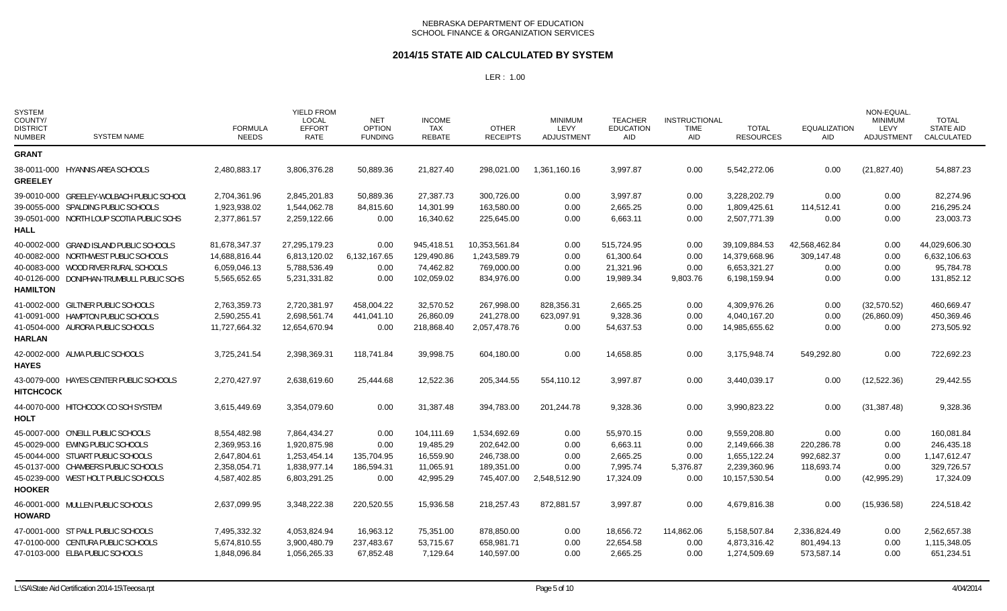### **2014/15 STATE AID CALCULATED BY SYSTEM**

| <b>SYSTEM</b><br>COUNTY/<br><b>DISTRICT</b><br><b>NUMBER</b> | <b>SYSTEM NAME</b>                        | <b>FORMULA</b><br><b>NEEDS</b> | <b>YIELD FROM</b><br><b>LOCAL</b><br><b>EFFORT</b><br>RATE | <b>NET</b><br><b>OPTION</b><br><b>FUNDING</b> | <b>INCOME</b><br>TAX<br><b>REBATE</b> | <b>OTHER</b><br><b>RECEIPTS</b> | <b>MINIMUM</b><br>LEVY<br>ADJUSTMENT | <b>TEACHER</b><br><b>EDUCATION</b><br>AID | <b>INSTRUCTIONAL</b><br><b>TIME</b><br>AID | <b>TOTAL</b><br><b>RESOURCES</b> | <b>EQUALIZATION</b><br>AID | NON-EQUAL.<br><b>MINIMUM</b><br>LEVY<br>ADJUSTMENT | <b>TOTAL</b><br><b>STATE AID</b><br>CALCULATED |
|--------------------------------------------------------------|-------------------------------------------|--------------------------------|------------------------------------------------------------|-----------------------------------------------|---------------------------------------|---------------------------------|--------------------------------------|-------------------------------------------|--------------------------------------------|----------------------------------|----------------------------|----------------------------------------------------|------------------------------------------------|
| <b>GRANT</b>                                                 |                                           |                                |                                                            |                                               |                                       |                                 |                                      |                                           |                                            |                                  |                            |                                                    |                                                |
| <b>GREELEY</b>                                               | 38-0011-000 HYANNIS AREA SCHOOLS          | 2,480,883.17                   | 3,806,376.28                                               | 50,889.36                                     | 21,827.40                             | 298,021.00                      | 1,361,160.16                         | 3,997.87                                  | 0.00                                       | 5,542,272.06                     | 0.00                       | (21, 827.40)                                       | 54,887.23                                      |
|                                                              | 39-0010-000 GREELEY-WOLBACH PUBLIC SCHOOL | 2,704,361.96                   | 2,845,201.83                                               | 50,889.36                                     | 27,387.73                             | 300,726.00                      | 0.00                                 | 3,997.87                                  | 0.00                                       | 3,228,202.79                     | 0.00                       | 0.00                                               | 82.274.96                                      |
|                                                              | 39-0055-000 SPALDING PUBLIC SCHOOLS       | 1,923,938.02                   | 1,544,062.78                                               | 84,815.60                                     | 14,301.99                             | 163,580.00                      | 0.00                                 | 2,665.25                                  | 0.00                                       | 1,809,425.61                     | 114,512.41                 | 0.00                                               | 216,295.24                                     |
| <b>HALL</b>                                                  | 39-0501-000 NORTH LOUP SCOTIA PUBLIC SCHS | 2,377,861.57                   | 2,259,122.66                                               | 0.00                                          | 16,340.62                             | 225,645.00                      | 0.00                                 | 6,663.11                                  | 0.00                                       | 2,507,771.39                     | 0.00                       | 0.00                                               | 23,003.73                                      |
|                                                              | 40-0002-000 GRAND ISLAND PUBLIC SCHOOLS   | 81,678,347.37                  | 27,295,179.23                                              | 0.00                                          | 945,418.51                            | 10,353,561.84                   | 0.00                                 | 515,724.95                                | 0.00                                       | 39,109,884.53                    | 42,568,462.84              | 0.00                                               | 44,029,606.30                                  |
|                                                              | 40-0082-000 NORTHWEST PUBLIC SCHOOLS      | 14,688,816.44                  | 6,813,120.02                                               | 6,132,167.65                                  | 129,490.86                            | 1,243,589.79                    | 0.00                                 | 61,300.64                                 | 0.00                                       | 14,379,668.96                    | 309,147.48                 | 0.00                                               | 6,632,106.63                                   |
|                                                              | 40-0083-000 WOOD RIVER RURAL SCHOOLS      | 6,059,046.13                   | 5,788,536.49                                               | 0.00                                          | 74,462.82                             | 769,000.00                      | 0.00                                 | 21,321.96                                 | 0.00                                       | 6,653,321.27                     | 0.00                       | 0.00                                               | 95,784.78                                      |
| <b>HAMILTON</b>                                              | 40-0126-000 DONIPHAN-TRUMBULL PUBLIC SCHS | 5,565,652.65                   | 5,231,331.82                                               | 0.00                                          | 102,059.02                            | 834,976.00                      | 0.00                                 | 19,989.34                                 | 9,803.76                                   | 6,198,159.94                     | 0.00                       | 0.00                                               | 131,852.12                                     |
|                                                              | 41-0002-000 GILTNER PUBLIC SCHOOLS        | 2,763,359.73                   | 2,720,381.97                                               | 458,004.22                                    | 32,570.52                             | 267,998.00                      | 828,356.31                           | 2,665.25                                  | 0.00                                       | 4,309,976.26                     | 0.00                       | (32,570.52)                                        | 460,669.47                                     |
|                                                              | 41-0091-000 HAMPTON PUBLIC SCHOOLS        | 2,590,255.41                   | 2,698,561.74                                               | 441.041.10                                    | 26.860.09                             | 241.278.00                      | 623,097.91                           | 9,328.36                                  | 0.00                                       | 4,040,167.20                     | 0.00                       | (26,860.09)                                        | 450,369.46                                     |
|                                                              | 41-0504-000 AURORA PUBLIC SCHOOLS         | 11,727,664.32                  | 12,654,670.94                                              | 0.00                                          | 218,868.40                            | 2,057,478.76                    | 0.00                                 | 54,637.53                                 | 0.00                                       | 14,985,655.62                    | 0.00                       | 0.00                                               | 273,505.92                                     |
| <b>HARLAN</b>                                                |                                           |                                |                                                            |                                               |                                       |                                 |                                      |                                           |                                            |                                  |                            |                                                    |                                                |
| <b>HAYES</b>                                                 | 42-0002-000 ALMA PUBLIC SCHOOLS           | 3,725,241.54                   | 2,398,369.31                                               | 118,741.84                                    | 39,998.75                             | 604,180.00                      | 0.00                                 | 14,658.85                                 | 0.00                                       | 3,175,948.74                     | 549,292.80                 | 0.00                                               | 722,692.23                                     |
| <b>HITCHCOCK</b>                                             | 43-0079-000 HAYES CENTER PUBLIC SCHOOLS   | 2,270,427.97                   | 2,638,619.60                                               | 25,444.68                                     | 12,522.36                             | 205,344.55                      | 554,110.12                           | 3,997.87                                  | 0.00                                       | 3,440,039.17                     | 0.00                       | (12,522.36)                                        | 29,442.55                                      |
| HOLT                                                         | 44-0070-000 HITCHCOCK CO SCH SYSTEM       | 3,615,449.69                   | 3,354,079.60                                               | 0.00                                          | 31,387.48                             | 394,783.00                      | 201,244.78                           | 9,328.36                                  | 0.00                                       | 3,990,823.22                     | 0.00                       | (31, 387.48)                                       | 9,328.36                                       |
|                                                              | 45-0007-000 O'NEILL PUBLIC SCHOOLS        | 8,554,482.98                   | 7,864,434.27                                               | 0.00                                          | 104,111.69                            | 1,534,692.69                    | 0.00                                 | 55,970.15                                 | 0.00                                       | 9,559,208.80                     | 0.00                       | 0.00                                               | 160,081.84                                     |
|                                                              | 45-0029-000 EWING PUBLIC SCHOOLS          | 2,369,953.16                   | 1,920,875.98                                               | 0.00                                          | 19,485.29                             | 202,642.00                      | 0.00                                 | 6,663.11                                  | 0.00                                       | 2,149,666.38                     | 220,286.78                 | 0.00                                               | 246,435.18                                     |
|                                                              | 45-0044-000 STUART PUBLIC SCHOOLS         | 2,647,804.61                   | 1,253,454.14                                               | 135,704.95                                    | 16,559.90                             | 246,738.00                      | 0.00                                 | 2,665.25                                  | 0.00                                       | 1,655,122.24                     | 992,682.37                 | 0.00                                               | 1,147,612.47                                   |
|                                                              | 45-0137-000 CHAMBERS PUBLIC SCHOOLS       | 2,358,054.71                   | 1,838,977.14                                               | 186,594.31                                    | 11,065.91                             | 189,351.00                      | 0.00                                 | 7,995.74                                  | 5,376.87                                   | 2,239,360.96                     | 118,693.74                 | 0.00                                               | 329,726.57                                     |
|                                                              | 45-0239-000 WEST HOLT PUBLIC SCHOOLS      | 4,587,402.85                   | 6,803,291.25                                               | 0.00                                          | 42,995.29                             | 745,407.00                      | 2,548,512.90                         | 17,324.09                                 | 0.00                                       | 10,157,530.54                    | 0.00                       | (42,995.29)                                        | 17,324.09                                      |
| <b>HOOKER</b>                                                |                                           |                                |                                                            |                                               |                                       |                                 |                                      |                                           |                                            |                                  |                            |                                                    |                                                |
| <b>HOWARD</b>                                                | 46-0001-000 MULLEN PUBLIC SCHOOLS         | 2,637,099.95                   | 3,348,222.38                                               | 220,520.55                                    | 15,936.58                             | 218,257.43                      | 872,881.57                           | 3,997.87                                  | 0.00                                       | 4,679,816.38                     | 0.00                       | (15,936.58)                                        | 224,518.42                                     |
|                                                              | 47-0001-000 ST PAUL PUBLIC SCHOOLS        | 7,495,332.32                   | 4,053,824.94                                               | 16,963.12                                     | 75,351.00                             | 878,850.00                      | 0.00                                 | 18,656.72                                 | 114,862.06                                 | 5,158,507.84                     | 2,336,824.49               | 0.00                                               | 2,562,657.38                                   |
|                                                              | 47-0100-000 CENTURA PUBLIC SCHOOLS        | 5,674,810.55                   | 3,900,480.79                                               | 237,483.67                                    | 53,715.67                             | 658,981.71                      | 0.00                                 | 22,654.58                                 | 0.00                                       | 4,873,316.42                     | 801,494.13                 | 0.00                                               | 1,115,348.05                                   |
|                                                              | 47-0103-000 ELBA PUBLIC SCHOOLS           | 1.848.096.84                   | 1.056.265.33                                               | 67.852.48                                     | 7.129.64                              | 140,597.00                      | 0.00                                 | 2.665.25                                  | 0.00                                       | 1,274,509.69                     | 573.587.14                 | 0.00                                               | 651.234.51                                     |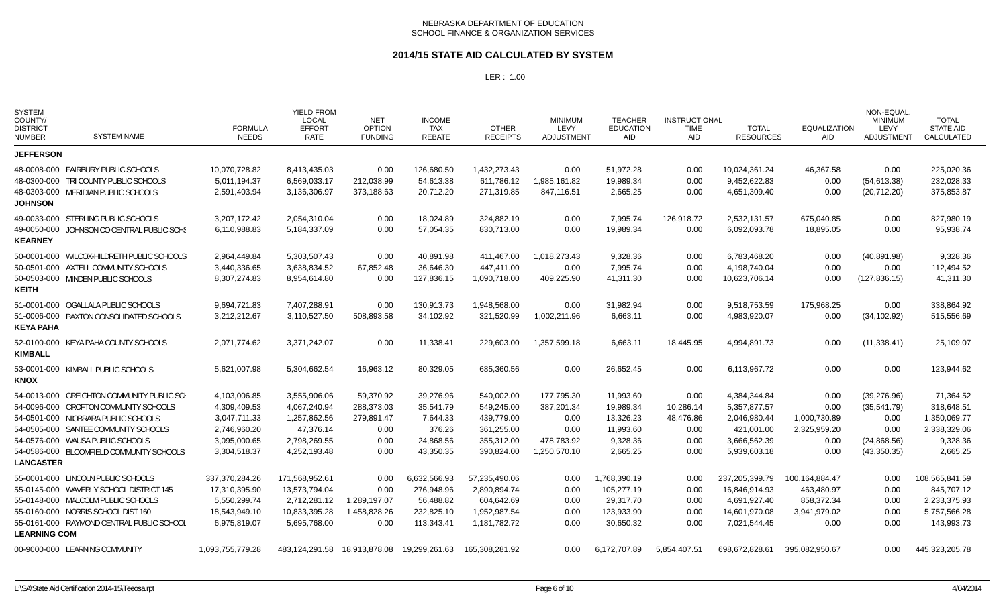### **2014/15 STATE AID CALCULATED BY SYSTEM**

| <b>SYSTEM</b><br>COUNTY/<br><b>DISTRICT</b><br><b>NUMBER</b> | <b>SYSTEM NAME</b>                         | <b>FORMULA</b><br><b>NEEDS</b> | YIELD FROM<br><b>LOCAL</b><br><b>EFFORT</b><br><b>RATE</b> | <b>NET</b><br><b>OPTION</b><br><b>FUNDING</b> | <b>INCOME</b><br><b>TAX</b><br><b>REBATE</b> | <b>OTHER</b><br><b>RECEIPTS</b> | <b>MINIMUM</b><br>LEVY<br>ADJUSTMENT | <b>TEACHER</b><br><b>EDUCATION</b><br><b>AID</b> | <b>INSTRUCTIONAL</b><br><b>TIME</b><br>AID | <b>TOTAL</b><br><b>RESOURCES</b> | <b>EQUALIZATION</b><br><b>AID</b> | NON-EQUAL<br><b>MINIMUM</b><br>LEVY<br>ADJUSTMENT | <b>TOTAL</b><br><b>STATE AID</b><br>CALCULATED |
|--------------------------------------------------------------|--------------------------------------------|--------------------------------|------------------------------------------------------------|-----------------------------------------------|----------------------------------------------|---------------------------------|--------------------------------------|--------------------------------------------------|--------------------------------------------|----------------------------------|-----------------------------------|---------------------------------------------------|------------------------------------------------|
| <b>JEFFERSON</b>                                             |                                            |                                |                                                            |                                               |                                              |                                 |                                      |                                                  |                                            |                                  |                                   |                                                   |                                                |
|                                                              | 48-0008-000 FAIRBURY PUBLIC SCHOOLS        | 10,070,728.82                  | 8,413,435.03                                               | 0.00                                          | 126,680.50                                   | 1,432,273.43                    | 0.00                                 | 51,972.28                                        | 0.00                                       | 10,024,361.24                    | 46.367.58                         | 0.00                                              | 225,020.36                                     |
|                                                              | 48-0300-000 TRI COUNTY PUBLIC SCHOOLS      | 5,011,194.37                   | 6,569,033.17                                               | 212,038.99                                    | 54,613.38                                    | 611,786.12                      | 1,985,161.82                         | 19,989.34                                        | 0.00                                       | 9,452,622.83                     | 0.00                              | (54, 613.38)                                      | 232,028.33                                     |
| <b>JOHNSON</b>                                               | 48-0303-000 MERIDIAN PUBLIC SCHOOLS        | 2,591,403.94                   | 3,136,306.97                                               | 373,188.63                                    | 20,712.20                                    | 271,319.85                      | 847,116.51                           | 2,665.25                                         | 0.00                                       | 4,651,309.40                     | 0.00                              | (20, 712.20)                                      | 375,853.87                                     |
|                                                              | 49-0033-000 STERLING PUBLIC SCHOOLS        | 3,207,172.42                   | 2,054,310.04                                               | 0.00                                          | 18.024.89                                    | 324.882.19                      | 0.00                                 | 7,995.74                                         | 126.918.72                                 | 2,532,131.57                     | 675,040.85                        | 0.00                                              | 827,980.19                                     |
| <b>KEARNEY</b>                                               | 49-0050-000 JOHNSON CO CENTRAL PUBLIC SCHS | 6,110,988.83                   | 5,184,337.09                                               | 0.00                                          | 57,054.35                                    | 830,713.00                      | 0.00                                 | 19,989.34                                        | 0.00                                       | 6,092,093.78                     | 18,895.05                         | 0.00                                              | 95,938.74                                      |
|                                                              | 50-0001-000 WILCOX-HILDRETH PUBLIC SCHOOLS | 2,964,449.84                   | 5,303,507.43                                               | 0.00                                          | 40,891.98                                    | 411,467.00                      | 1,018,273.43                         | 9,328.36                                         | 0.00                                       | 6,783,468.20                     | 0.00                              | (40, 891.98)                                      | 9,328.36                                       |
|                                                              | 50-0501-000 AXTELL COMMUNITY SCHOOLS       | 3,440,336.65                   | 3,638,834.52                                               | 67,852.48                                     | 36.646.30                                    | 447.411.00                      | 0.00                                 | 7,995.74                                         | 0.00                                       | 4.198.740.04                     | 0.00                              | 0.00                                              | 112,494.52                                     |
| <b>KEITH</b>                                                 | 50-0503-000 MINDEN PUBLIC SCHOOLS          | 8,307,274.83                   | 8,954,614.80                                               | 0.00                                          | 127,836.15                                   | 1,090,718.00                    | 409,225.90                           | 41,311.30                                        | 0.00                                       | 10,623,706.14                    | 0.00                              | (127, 836.15)                                     | 41,311.30                                      |
|                                                              | 51-0001-000 OGALLALA PUBLIC SCHOOLS        | 9,694,721.83                   | 7,407,288.91                                               | 0.00                                          | 130,913.73                                   | 1,948,568.00                    | 0.00                                 | 31,982.94                                        | 0.00                                       | 9,518,753.59                     | 175,968.25                        | 0.00                                              | 338,864.92                                     |
| <b>KEYA PAHA</b>                                             | 51-0006-000 PAXTON CONSOLIDATED SCHOOLS    | 3,212,212.67                   | 3.110.527.50                                               | 508,893.58                                    | 34.102.92                                    | 321,520.99                      | 1,002,211.96                         | 6.663.11                                         | 0.00                                       | 4.983.920.07                     | 0.00                              | (34, 102.92)                                      | 515,556.69                                     |
| <b>KIMBALL</b>                                               | 52-0100-000 KEYA PAHA COUNTY SCHOOLS       | 2,071,774.62                   | 3,371,242.07                                               | 0.00                                          | 11,338.41                                    | 229,603.00                      | 1,357,599.18                         | 6,663.11                                         | 18,445.95                                  | 4,994,891.73                     | 0.00                              | (11, 338.41)                                      | 25,109.07                                      |
| KNOX                                                         | 53-0001-000 KIMBALL PUBLIC SCHOOLS         | 5,621,007.98                   | 5,304,662.54                                               | 16,963.12                                     | 80,329.05                                    | 685,360.56                      | 0.00                                 | 26,652.45                                        | 0.00                                       | 6,113,967.72                     | 0.00                              | 0.00                                              | 123,944.62                                     |
|                                                              | 54-0013-000 CREIGHTON COMMUNITY PUBLIC SCH | 4,103,006.85                   | 3,555,906.06                                               | 59,370.92                                     | 39,276.96                                    | 540,002.00                      | 177,795.30                           | 11,993.60                                        | 0.00                                       | 4,384,344.84                     | 0.00                              | (39, 276.96)                                      | 71,364.52                                      |
|                                                              | 54-0096-000 CROFTON COMMUNITY SCHOOLS      | 4,309,409.53                   | 4,067,240.94                                               | 288,373.03                                    | 35,541.79                                    | 549,245.00                      | 387,201.34                           | 19,989.34                                        | 10,286.14                                  | 5,357,877.57                     | 0.00                              | (35, 541.79)                                      | 318,648.51                                     |
|                                                              | 54-0501-000 NIOBRARA PUBLIC SCHOOLS        | 3,047,711.33                   | 1,257,862.56                                               | 279,891.47                                    | 7,644.33                                     | 439,779.00                      | 0.00                                 | 13,326.23                                        | 48,476.86                                  | 2,046,980.44                     | 1,000,730.89                      | 0.00                                              | 1,350,069.77                                   |
|                                                              | 54-0505-000 SANTEE COMMUNITY SCHOOLS       | 2,746,960.20                   | 47,376.14                                                  | 0.00                                          | 376.26                                       | 361,255.00                      | 0.00                                 | 11,993.60                                        | 0.00                                       | 421,001.00                       | 2,325,959.20                      | 0.00                                              | 2,338,329.06                                   |
|                                                              | 54-0576-000 WAUSA PUBLIC SCHOOLS           | 3,095,000.65                   | 2,798,269.55                                               | 0.00                                          | 24,868.56                                    | 355,312.00                      | 478,783.92                           | 9,328.36                                         | 0.00                                       | 3,666,562.39                     | 0.00                              | (24, 868.56)                                      | 9,328.36                                       |
| <b>LANCASTER</b>                                             | 54-0586-000 BLOOMFIELD COMMUNITY SCHOOLS   | 3,304,518.37                   | 4,252,193.48                                               | 0.00                                          | 43,350.35                                    | 390,824.00                      | 1,250,570.10                         | 2,665.25                                         | 0.00                                       | 5,939,603.18                     | 0.00                              | (43,350.35)                                       | 2,665.25                                       |
|                                                              | 55-0001-000 LINCOLN PUBLIC SCHOOLS         | 337,370,284.26                 | 171,568,952.61                                             | 0.00                                          | 6,632,566.93                                 | 57,235,490.06                   | 0.00                                 | 1,768,390.19                                     | 0.00                                       | 237,205,399.79                   | 100,164,884.47                    | 0.00                                              | 108,565,841.59                                 |
|                                                              | 55-0145-000 WAVERLY SCHOOL DISTRICT 145    | 17,310,395.90                  | 13,573,794.04                                              | 0.00                                          | 276,948.96                                   | 2,890,894.74                    | 0.00                                 | 105,277.19                                       | 0.00                                       | 16,846,914.93                    | 463,480.97                        | 0.00                                              | 845,707.12                                     |
|                                                              | 55-0148-000 MALCOLM PUBLIC SCHOOLS         | 5,550,299.74                   | 2,712,281.12                                               | 1,289,197.07                                  | 56,488.82                                    | 604,642.69                      | 0.00                                 | 29,317.70                                        | 0.00                                       | 4,691,927.40                     | 858,372.34                        | 0.00                                              | 2,233,375.93                                   |
|                                                              | 55-0160-000 NORRIS SCHOOL DIST 160         | 18,543,949.10                  | 10,833,395.28                                              | 1,458,828.26                                  | 232,825.10                                   | 1,952,987.54                    | 0.00                                 | 123,933.90                                       | 0.00                                       | 14,601,970.08                    | 3,941,979.02                      | 0.00                                              | 5,757,566.28                                   |
| <b>LEARNING COM</b>                                          | 55-0161-000 RAYMOND CENTRAL PUBLIC SCHOOL  | 6,975,819.07                   | 5,695,768.00                                               | 0.00                                          | 113,343.41                                   | 1,181,782.72                    | 0.00                                 | 30,650.32                                        | 0.00                                       | 7,021,544.45                     | 0.00                              | 0.00                                              | 143,993.73                                     |
|                                                              | 00-9000-000 LEARNING COMMUNITY             | 1,093,755,779.28               | 483,124,291.58                                             | 18,913,878.08                                 | 19,299,261.63                                | 165,308,281.92                  | 0.00                                 | 6,172,707.89                                     | 5,854,407.51                               | 698,672,828.61                   | 395,082,950.67                    | 0.00                                              | 445,323,205.78                                 |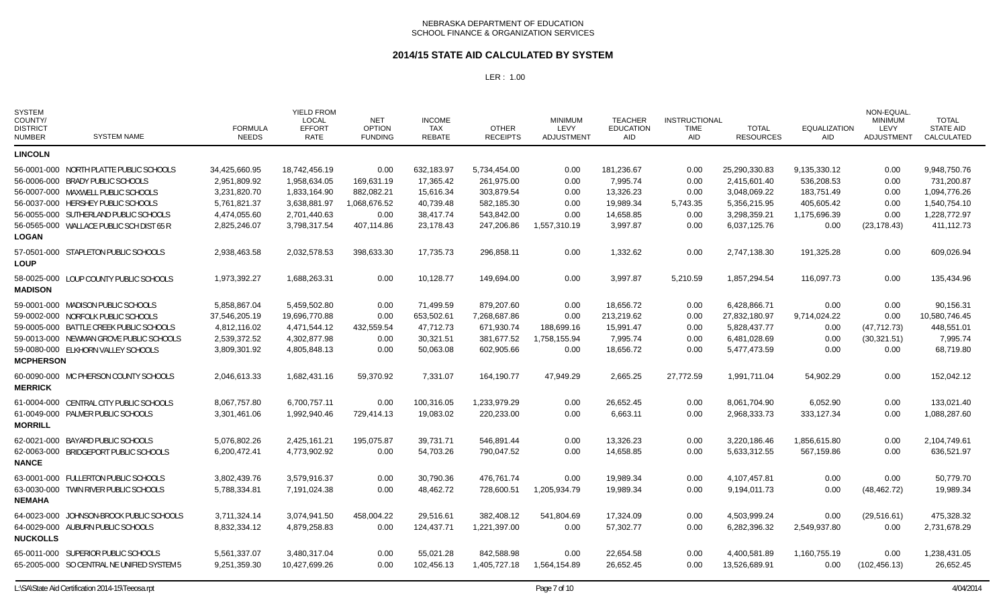### **2014/15 STATE AID CALCULATED BY SYSTEM**

| <b>SYSTEM</b><br>COUNTY/<br><b>DISTRICT</b><br><b>NUMBER</b> | SYSTEM NAME                                                                 | <b>FORMULA</b><br><b>NEEDS</b> | <b>YIELD FROM</b><br>LOCAL<br><b>EFFORT</b><br><b>RATE</b> | <b>NET</b><br><b>OPTION</b><br><b>FUNDING</b> | <b>INCOME</b><br><b>TAX</b><br><b>REBATE</b> | <b>OTHER</b><br><b>RECEIPTS</b> | <b>MINIMUM</b><br>LEVY<br><b>ADJUSTMENT</b> | <b>TEACHER</b><br>EDUCATION<br>AID | <b>INSTRUCTIONAL</b><br><b>TIME</b><br>AID | <b>TOTAL</b><br><b>RESOURCES</b> | <b>EQUALIZATION</b><br><b>AID</b> | NON-EQUAL<br><b>MINIMUM</b><br>LEVY<br><b>ADJUSTMENT</b> | <b>TOTAL</b><br><b>STATE AID</b><br>CALCULATED |
|--------------------------------------------------------------|-----------------------------------------------------------------------------|--------------------------------|------------------------------------------------------------|-----------------------------------------------|----------------------------------------------|---------------------------------|---------------------------------------------|------------------------------------|--------------------------------------------|----------------------------------|-----------------------------------|----------------------------------------------------------|------------------------------------------------|
| <b>LINCOLN</b>                                               |                                                                             |                                |                                                            |                                               |                                              |                                 |                                             |                                    |                                            |                                  |                                   |                                                          |                                                |
|                                                              | 56-0001-000 NORTH PLATTE PUBLIC SCHOOLS<br>56-0006-000 BRADY PUBLIC SCHOOLS | 34,425,660.95<br>2,951,809.92  | 18,742,456.19<br>1,958,634.05                              | 0.00<br>169,631.19                            | 632,183.97<br>17,365.42                      | 5,734,454.00<br>261,975.00      | 0.00<br>0.00                                | 181,236.67<br>7,995.74             | 0.00<br>0.00                               | 25,290,330.83<br>2,415,601.40    | 9,135,330.12<br>536,208.53        | 0.00<br>0.00                                             | 9,948,750.76<br>731,200.87                     |
|                                                              | 56-0007-000 MAXWELL PUBLIC SCHOOLS                                          | 3,231,820.70                   | 1,833,164.90                                               | 882,082.21                                    | 15,616.34                                    | 303,879.54                      | 0.00                                        | 13,326.23                          | 0.00                                       | 3,048,069.22                     | 183,751.49                        | 0.00                                                     | 1,094,776.26                                   |
|                                                              | 56-0037-000 HERSHEY PUBLIC SCHOOLS                                          | 5,761,821.37                   | 3,638,881.97                                               | 1,068,676.52                                  | 40,739.48                                    | 582,185.30                      | 0.00                                        | 19,989.34                          | 5,743.35                                   | 5,356,215.95                     | 405,605.42                        | 0.00                                                     | 1,540,754.10                                   |
|                                                              | 56-0055-000 SUTHERLAND PUBLIC SCHOOLS                                       | 4,474,055.60                   | 2,701,440.63                                               | 0.00                                          | 38,417.74                                    | 543,842.00                      | 0.00                                        | 14,658.85                          | 0.00                                       | 3,298,359.21                     | 1,175,696.39                      | 0.00                                                     | 1,228,772.97                                   |
| <b>LOGAN</b>                                                 | 56-0565-000 WALLACE PUBLIC SCH DIST 65 R                                    | 2,825,246.07                   | 3,798,317.54                                               | 407,114.86                                    | 23,178.43                                    | 247,206.86                      | 1,557,310.19                                | 3,997.87                           | 0.00                                       | 6,037,125.76                     | 0.00                              | (23, 178.43)                                             | 411,112.73                                     |
| <b>LOUP</b>                                                  | 57-0501-000 STAPLETON PUBLIC SCHOOLS                                        | 2,938,463.58                   | 2,032,578.53                                               | 398,633.30                                    | 17,735.73                                    | 296,858.11                      | 0.00                                        | 1,332.62                           | 0.00                                       | 2,747,138.30                     | 191,325.28                        | 0.00                                                     | 609,026.94                                     |
| <b>MADISON</b>                                               | 58-0025-000 LOUP COUNTY PUBLIC SCHOOLS                                      | 1,973,392.27                   | 1,688,263.31                                               | 0.00                                          | 10,128.77                                    | 149.694.00                      | 0.00                                        | 3.997.87                           | 5,210.59                                   | 1,857,294.54                     | 116.097.73                        | 0.00                                                     | 135.434.96                                     |
|                                                              | 59-0001-000 MADISON PUBLIC SCHOOLS                                          | 5,858,867.04                   | 5,459,502.80                                               | 0.00                                          | 71,499.59                                    | 879,207.60                      | 0.00                                        | 18,656.72                          | 0.00                                       | 6,428,866.71                     | 0.00                              | 0.00                                                     | 90,156.31                                      |
|                                                              | 59-0002-000 NORFOLK PUBLIC SCHOOLS                                          | 37,546,205.19                  | 19.696.770.88                                              | 0.00                                          | 653.502.61                                   | 7.268.687.86                    | 0.00                                        | 213.219.62                         | 0.00                                       | 27,832,180.97                    | 9,714,024.22                      | 0.00                                                     | 10.580.746.45                                  |
|                                                              | 59-0005-000 BATTLE CREEK PUBLIC SCHOOLS                                     | 4,812,116.02                   | 4,471,544.12                                               | 432,559.54                                    | 47,712.73                                    | 671,930.74                      | 188,699.16                                  | 15,991.47                          | 0.00                                       | 5,828,437.77                     | 0.00                              | (47, 712.73)                                             | 448,551.01                                     |
|                                                              | 59-0013-000 NEWMAN GROVE PUBLIC SCHOOLS                                     | 2,539,372.52                   | 4,302,877.98                                               | 0.00                                          | 30,321.51                                    | 381,677.52                      | 1,758,155.94                                | 7,995.74                           | 0.00                                       | 6,481,028.69                     | 0.00                              | (30, 321.51)                                             | 7,995.74                                       |
| <b>MCPHERSON</b>                                             | 59-0080-000 ELKHORN VALLEY SCHOOLS                                          | 3,809,301.92                   | 4,805,848.13                                               | 0.00                                          | 50,063.08                                    | 602,905.66                      | 0.00                                        | 18,656.72                          | 0.00                                       | 5,477,473.59                     | 0.00                              | 0.00                                                     | 68,719.80                                      |
| <b>MERRICK</b>                                               | 60-0090-000 MC PHERSON COUNTY SCHOOLS                                       | 2,046,613.33                   | 1,682,431.16                                               | 59,370.92                                     | 7,331.07                                     | 164,190.77                      | 47,949.29                                   | 2,665.25                           | 27,772.59                                  | 1,991,711.04                     | 54,902.29                         | 0.00                                                     | 152,042.12                                     |
|                                                              | 61-0004-000 CENTRAL CITY PUBLIC SCHOOLS                                     | 8,067,757.80                   | 6.700.757.11                                               | 0.00                                          | 100,316.05                                   | 1,233,979.29                    | 0.00                                        | 26,652.45                          | 0.00                                       | 8.061.704.90                     | 6,052.90                          | 0.00                                                     | 133.021.40                                     |
| <b>MORRILL</b>                                               | 61-0049-000 PALMER PUBLIC SCHOOLS                                           | 3,301,461.06                   | 1,992,940.46                                               | 729,414.13                                    | 19,083.02                                    | 220,233.00                      | 0.00                                        | 6,663.11                           | 0.00                                       | 2,968,333.73                     | 333,127.34                        | 0.00                                                     | 1,088,287.60                                   |
|                                                              | 62-0021-000 BAYARD PUBLIC SCHOOLS                                           | 5,076,802.26                   | 2,425,161.21                                               | 195.075.87                                    | 39,731.71                                    | 546.891.44                      | 0.00                                        | 13,326.23                          | 0.00                                       | 3,220,186.46                     | 1,856,615.80                      | 0.00                                                     | 2,104,749.61                                   |
| <b>NANCE</b>                                                 | 62-0063-000 BRIDGEPORT PUBLIC SCHOOLS                                       | 6,200,472.41                   | 4,773,902.92                                               | 0.00                                          | 54,703.26                                    | 790,047.52                      | 0.00                                        | 14,658.85                          | 0.00                                       | 5,633,312.55                     | 567,159.86                        | 0.00                                                     | 636,521.97                                     |
|                                                              | 63-0001-000 FULLERTON PUBLIC SCHOOLS                                        | 3,802,439.76                   | 3,579,916.37                                               | 0.00                                          | 30,790.36                                    | 476,761.74                      | 0.00                                        | 19,989.34                          | 0.00                                       | 4,107,457.81                     | 0.00                              | 0.00                                                     | 50,779.70                                      |
| <b>NEMAHA</b>                                                | 63-0030-000 TWIN RIVER PUBLIC SCHOOLS                                       | 5,788,334.81                   | 7,191,024.38                                               | 0.00                                          | 48,462.72                                    | 728,600.51                      | 1,205,934.79                                | 19,989.34                          | 0.00                                       | 9,194,011.73                     | 0.00                              | (48, 462.72)                                             | 19,989.34                                      |
|                                                              | 64-0023-000 JOHNSON-BROCK PUBLIC SCHOOLS                                    | 3,711,324.14                   | 3,074,941.50                                               | 458,004.22                                    | 29,516.61                                    | 382,408.12                      | 541,804.69                                  | 17,324.09                          | 0.00                                       | 4,503,999.24                     | 0.00                              | (29, 516.61)                                             | 475,328.32                                     |
| <b>NUCKOLLS</b>                                              | 64-0029-000 AUBURN PUBLIC SCHOOLS                                           | 8,832,334.12                   | 4,879,258.83                                               | 0.00                                          | 124,437.71                                   | 1,221,397.00                    | 0.00                                        | 57,302.77                          | 0.00                                       | 6,282,396.32                     | 2,549,937.80                      | 0.00                                                     | 2,731,678.29                                   |
|                                                              | 65-0011-000 SUPERIOR PUBLIC SCHOOLS                                         | 5,561,337.07                   | 3,480,317.04                                               | 0.00                                          | 55,021.28                                    | 842.588.98                      | 0.00                                        | 22,654.58                          | 0.00                                       | 4,400,581.89                     | 1,160,755.19                      | 0.00                                                     | 1,238,431.05                                   |
|                                                              | 65-2005-000 SO CENTRAL NE UNIFIED SYSTEM 5                                  | 9,251,359.30                   | 10,427,699.26                                              | 0.00                                          | 102,456.13                                   | 1,405,727.18                    | 1,564,154.89                                | 26.652.45                          | 0.00                                       | 13,526,689.91                    | 0.00                              | (102, 456.13)                                            | 26,652.45                                      |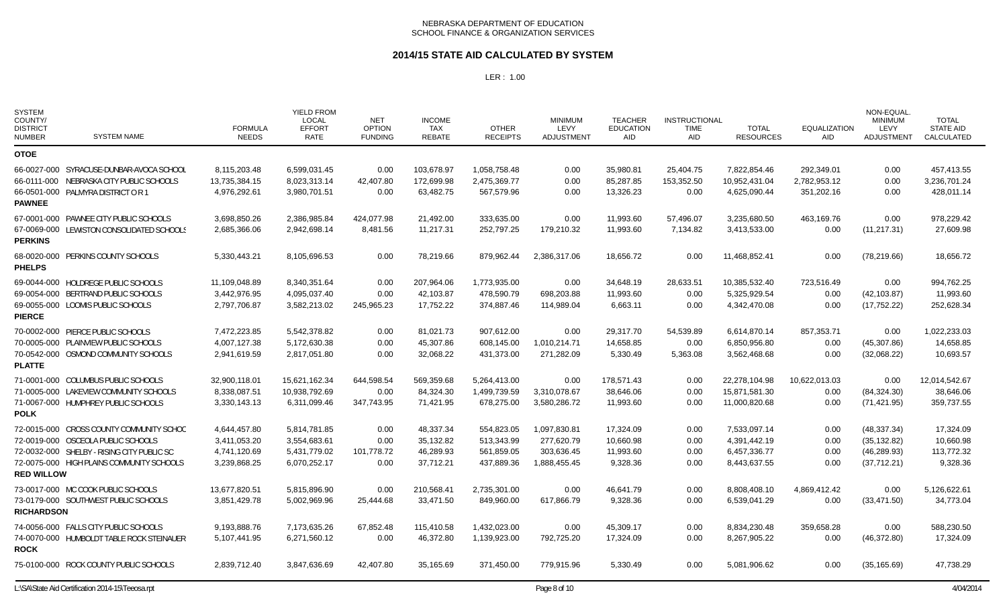### **2014/15 STATE AID CALCULATED BY SYSTEM**

| <b>SYSTEM</b><br>COUNTY/<br><b>DISTRICT</b><br><b>NUMBER</b> | <b>SYSTEM NAME</b>                               | <b>FORMULA</b><br><b>NEEDS</b> | <b>YIELD FROM</b><br><b>LOCAL</b><br><b>EFFORT</b><br><b>RATE</b> | NET<br><b>OPTION</b><br><b>FUNDING</b> | <b>INCOME</b><br><b>TAX</b><br><b>REBATE</b> | <b>OTHER</b><br><b>RECEIPTS</b> | <b>MINIMUM</b><br>LEVY<br>ADJUSTMENT | <b>TEACHER</b><br><b>EDUCATION</b><br><b>AID</b> | <b>INSTRUCTIONAL</b><br><b>TIME</b><br><b>AID</b> | <b>TOTAL</b><br><b>RESOURCES</b> | <b>EQUALIZATION</b><br><b>AID</b> | NON-EQUAL.<br><b>MINIMUM</b><br>LEVY<br>ADJUSTMENT | <b>TOTAL</b><br><b>STATE AID</b><br>CALCULATED |
|--------------------------------------------------------------|--------------------------------------------------|--------------------------------|-------------------------------------------------------------------|----------------------------------------|----------------------------------------------|---------------------------------|--------------------------------------|--------------------------------------------------|---------------------------------------------------|----------------------------------|-----------------------------------|----------------------------------------------------|------------------------------------------------|
| <b>OTOE</b>                                                  |                                                  |                                |                                                                   |                                        |                                              |                                 |                                      |                                                  |                                                   |                                  |                                   |                                                    |                                                |
|                                                              | 66-0027-000 SYRACUSE-DUNBAR-AVOCA SCHOOL         | 8,115,203.48                   | 6,599,031.45                                                      | 0.00                                   | 103,678.97                                   | 1,058,758.48                    | 0.00                                 | 35,980.81                                        | 25,404.75                                         | 7,822,854.46                     | 292,349.01                        | 0.00                                               | 457,413.55                                     |
|                                                              | 66-0111-000 NEBRASKA CITY PUBLIC SCHOOLS         | 13,735,384.15                  | 8,023,313.14                                                      | 42,407.80                              | 172,699.98                                   | 2,475,369.77                    | 0.00                                 | 85,287.85                                        | 153,352.50                                        | 10,952,431.04                    | 2,782,953.12                      | 0.00                                               | 3,236,701.24                                   |
| <b>PAWNEE</b>                                                | 66-0501-000 PALMYRA DISTRICT OR 1                | 4,976,292.61                   | 3,980,701.51                                                      | 0.00                                   | 63,482.75                                    | 567,579.96                      | 0.00                                 | 13,326.23                                        | 0.00                                              | 4,625,090.44                     | 351,202.16                        | 0.00                                               | 428,011.14                                     |
|                                                              | 67-0001-000 PAWNEE CITY PUBLIC SCHOOLS           | 3.698.850.26                   | 2.386.985.84                                                      | 424.077.98                             | 21.492.00                                    | 333.635.00                      | 0.00                                 | 11,993.60                                        | 57.496.07                                         | 3.235.680.50                     | 463.169.76                        | 0.00                                               | 978.229.42                                     |
| <b>PERKINS</b>                                               | 67-0069-000 LEWISTON CONSOLIDATED SCHOOLS        | 2,685,366.06                   | 2,942,698.14                                                      | 8,481.56                               | 11,217.31                                    | 252,797.25                      | 179,210.32                           | 11,993.60                                        | 7,134.82                                          | 3,413,533.00                     | 0.00                              | (11, 217.31)                                       | 27,609.98                                      |
| <b>PHELPS</b>                                                | 68-0020-000 PERKINS COUNTY SCHOOLS               | 5,330,443.21                   | 8,105,696.53                                                      | 0.00                                   | 78,219.66                                    | 879,962.44                      | 2,386,317.06                         | 18,656.72                                        | 0.00                                              | 11,468,852.41                    | 0.00                              | (78, 219.66)                                       | 18,656.72                                      |
|                                                              | 69-0044-000 HOLDREGE PUBLIC SCHOOLS              | 11,109,048.89                  | 8,340,351.64                                                      | 0.00                                   | 207,964.06                                   | 1,773,935.00                    | 0.00                                 | 34,648.19                                        | 28,633.51                                         | 10,385,532.40                    | 723,516.49                        | 0.00                                               | 994,762.25                                     |
|                                                              | 69-0054-000 BERTRAND PUBLIC SCHOOLS              | 3,442,976.95                   | 4,095,037.40                                                      | 0.00                                   | 42,103.87                                    | 478,590.79                      | 698,203.88                           | 11,993.60                                        | 0.00                                              | 5,325,929.54                     | 0.00                              | (42, 103.87)                                       | 11,993.60                                      |
| <b>PIERCE</b>                                                | 69-0055-000 LOOMIS PUBLIC SCHOOLS                | 2,797,706.87                   | 3,582,213.02                                                      | 245,965.23                             | 17,752.22                                    | 374.887.46                      | 114.989.04                           | 6.663.11                                         | 0.00                                              | 4,342,470.08                     | 0.00                              | (17, 752.22)                                       | 252,628.34                                     |
|                                                              | 70-0002-000 PIERCE PUBLIC SCHOOLS                | 7,472,223.85                   | 5,542,378.82                                                      | 0.00                                   | 81,021.73                                    | 907,612.00                      | 0.00                                 | 29,317.70                                        | 54,539.89                                         | 6,614,870.14                     | 857,353.71                        | 0.00                                               | 1,022,233.03                                   |
|                                                              | 70-0005-000 PLAINVIEW PUBLIC SCHOOLS             | 4,007,127.38                   | 5,172,630.38                                                      | 0.00                                   | 45,307.86                                    | 608,145.00                      | 1,010,214.71                         | 14,658.85                                        | 0.00                                              | 6,850,956.80                     | 0.00                              | (45,307.86)                                        | 14,658.85                                      |
| <b>PLATTE</b>                                                | 70-0542-000 OSMOND COMMUNITY SCHOOLS             | 2,941,619.59                   | 2,817,051.80                                                      | 0.00                                   | 32,068.22                                    | 431,373.00                      | 271,282.09                           | 5,330.49                                         | 5,363.08                                          | 3,562,468.68                     | 0.00                              | (32,068.22)                                        | 10,693.57                                      |
|                                                              | 71-0001-000 COLUMBUS PUBLIC SCHOOLS              | 32,900,118.01                  | 15,621,162.34                                                     | 644,598.54                             | 569,359.68                                   | 5,264,413.00                    | 0.00                                 | 178,571.43                                       | 0.00                                              | 22,278,104.98                    | 10,622,013.03                     | 0.00                                               | 12,014,542.67                                  |
|                                                              | 71-0005-000 LAKEVIEW COMMUNITY SCHOOLS           | 8,338,087.51                   | 10,938,792.69                                                     | 0.00                                   | 84,324.30                                    | 1,499,739.59                    | 3,310,078.67                         | 38,646.06                                        | 0.00                                              | 15,871,581.30                    | 0.00                              | (84, 324.30)                                       | 38,646.06                                      |
| <b>POLK</b>                                                  | 71-0067-000 HUMPHREY PUBLIC SCHOOLS              | 3,330,143.13                   | 6,311,099.46                                                      | 347,743.95                             | 71,421.95                                    | 678,275.00                      | 3,580,286.72                         | 11,993.60                                        | 0.00                                              | 11,000,820.68                    | 0.00                              | (71, 421.95)                                       | 359,737.55                                     |
|                                                              | 72-0015-000 CROSS COUNTY COMMUNITY SCHOO         | 4,644,457.80                   | 5.814.781.85                                                      | 0.00                                   | 48.337.34                                    | 554.823.05                      | 1.097.830.81                         | 17.324.09                                        | 0.00                                              | 7.533.097.14                     | 0.00                              | (48, 337.34)                                       | 17.324.09                                      |
|                                                              | 72-0019-000 OSCEOLA PUBLIC SCHOOLS               | 3,411,053.20                   | 3,554,683.61                                                      | 0.00                                   | 35,132.82                                    | 513.343.99                      | 277.620.79                           | 10.660.98                                        | 0.00                                              | 4,391,442.19                     | 0.00                              | (35, 132.82)                                       | 10,660.98                                      |
|                                                              | 72-0032-000 SHELBY - RISING CITY PUBLIC SC       | 4,741,120.69                   | 5,431,779.02                                                      | 101,778.72                             | 46,289.93                                    | 561,859.05                      | 303.636.45                           | 11,993.60                                        | 0.00                                              | 6,457,336.77                     | 0.00                              | (46, 289.93)                                       | 113,772.32                                     |
| <b>RED WILLOW</b>                                            | 72-0075-000 HIGH PLAINS COMMUNITY SCHOOLS        | 3,239,868.25                   | 6,070,252.17                                                      | 0.00                                   | 37,712.21                                    | 437,889.36                      | 1,888,455.45                         | 9,328.36                                         | 0.00                                              | 8,443,637.55                     | 0.00                              | (37,712.21)                                        | 9,328.36                                       |
|                                                              | 73-0017-000 MC COOK PUBLIC SCHOOLS               | 13,677,820.51                  | 5,815,896.90                                                      | 0.00                                   | 210,568.41                                   | 2,735,301.00                    | 0.00                                 | 46,641.79                                        | 0.00                                              | 8,808,408.10                     | 4,869,412.42                      | 0.00                                               | 5,126,622.61                                   |
| <b>RICHARDSON</b>                                            | 73-0179-000 SOUTHWEST PUBLIC SCHOOLS             | 3,851,429.78                   | 5,002,969.96                                                      | 25,444.68                              | 33,471.50                                    | 849,960.00                      | 617,866.79                           | 9,328.36                                         | 0.00                                              | 6,539,041.29                     | 0.00                              | (33, 471.50)                                       | 34,773.04                                      |
|                                                              | 74-0056-000 FALLS CITY PUBLIC SCHOOLS            | 9,193,888.76                   | 7,173,635.26                                                      | 67,852.48                              | 115,410.58                                   | 1,432,023.00                    | 0.00                                 | 45,309.17                                        | 0.00                                              | 8,834,230.48                     | 359,658.28                        | 0.00                                               | 588,230.50                                     |
| <b>ROCK</b>                                                  | 74-0070-000 HUMBOLDT TABLE ROCK STEINAUER        | 5,107,441.95                   | 6,271,560.12                                                      | 0.00                                   | 46.372.80                                    | 1.139.923.00                    | 792,725.20                           | 17.324.09                                        | 0.00                                              | 8,267,905.22                     | 0.00                              | (46,372.80)                                        | 17.324.09                                      |
|                                                              | 75-0100-000 ROCK COUNTY PUBLIC SCHOOLS           | 2,839,712.40                   | 3,847,636.69                                                      | 42,407.80                              | 35,165.69                                    | 371,450.00                      | 779,915.96                           | 5,330.49                                         | 0.00                                              | 5,081,906.62                     | 0.00                              | (35, 165.69)                                       | 47,738.29                                      |
|                                                              | L:\SA\State Aid Certification 2014-15\Teeosa.rpt |                                |                                                                   |                                        |                                              |                                 | Page 8 of 10                         |                                                  |                                                   |                                  |                                   |                                                    | 4/04/2014                                      |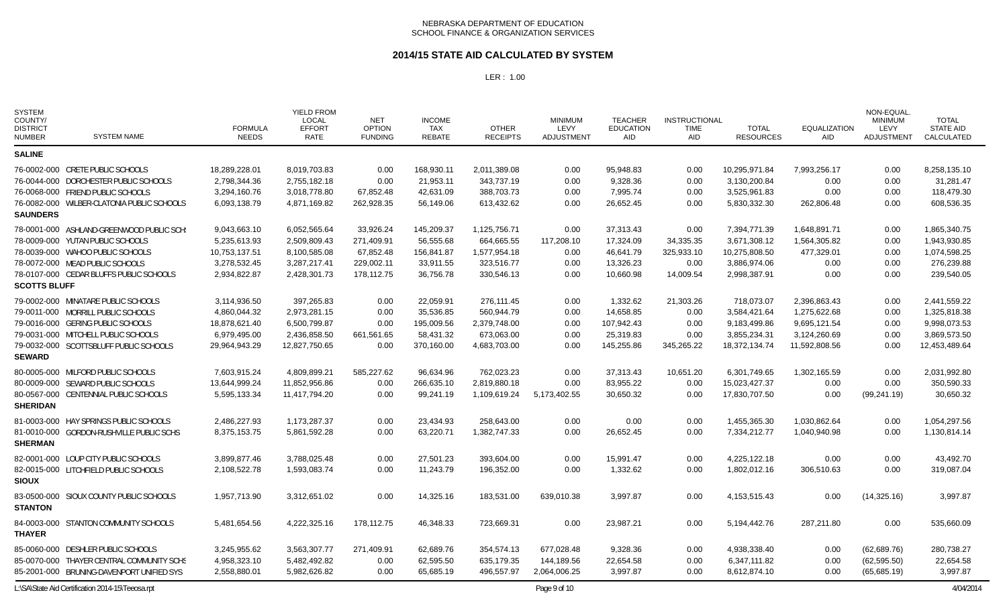### **2014/15 STATE AID CALCULATED BY SYSTEM**

| <b>SYSTEM</b><br>COUNTY/<br><b>DISTRICT</b><br><b>NUMBER</b> | <b>SYSTEM NAME</b>                         | <b>FORMULA</b><br><b>NEEDS</b> | <b>YIELD FROM</b><br>LOCAL<br><b>EFFORT</b><br><b>RATE</b> | <b>NET</b><br><b>OPTION</b><br><b>FUNDING</b> | <b>INCOME</b><br>TAX<br><b>REBATE</b> | <b>OTHER</b><br><b>RECEIPTS</b> | <b>MINIMUM</b><br>LEVY<br><b>ADJUSTMENT</b> | <b>TEACHER</b><br><b>EDUCATION</b><br>AID | <b>INSTRUCTIONAL</b><br><b>TIME</b><br>AID | <b>TOTAL</b><br><b>RESOURCES</b> | <b>EQUALIZATION</b><br><b>AID</b> | NON-EQUAL.<br><b>MINIMUM</b><br>LEVY<br><b>ADJUSTMENT</b> | <b>TOTAL</b><br><b>STATE AID</b><br><b>CALCULATED</b> |
|--------------------------------------------------------------|--------------------------------------------|--------------------------------|------------------------------------------------------------|-----------------------------------------------|---------------------------------------|---------------------------------|---------------------------------------------|-------------------------------------------|--------------------------------------------|----------------------------------|-----------------------------------|-----------------------------------------------------------|-------------------------------------------------------|
| <b>SALINE</b>                                                |                                            |                                |                                                            |                                               |                                       |                                 |                                             |                                           |                                            |                                  |                                   |                                                           |                                                       |
|                                                              | 76-0002-000 CRETE PUBLIC SCHOOLS           | 18,289,228.01                  | 8,019,703.83                                               | 0.00                                          | 168,930.11                            | 2,011,389.08                    | 0.00                                        | 95,948.83                                 | 0.00                                       | 10,295,971.84                    | 7,993,256.17                      | 0.00                                                      | 8,258,135.10                                          |
|                                                              | 76-0044-000 DORCHESTER PUBLIC SCHOOLS      | 2,798,344.36                   | 2,755,182.18                                               | 0.00                                          | 21,953.11                             | 343,737.19                      | 0.00                                        | 9,328.36                                  | 0.00                                       | 3,130,200.84                     | 0.00                              | 0.00                                                      | 31,281.47                                             |
|                                                              | 76-0068-000 FRIEND PUBLIC SCHOOLS          | 3,294,160.76                   | 3,018,778.80                                               | 67,852.48                                     | 42,631.09                             | 388,703.73                      | 0.00                                        | 7,995.74                                  | 0.00                                       | 3,525,961.83                     | 0.00                              | 0.00                                                      | 118,479.30                                            |
|                                                              | 76-0082-000 WILBER-CLATONIA PUBLIC SCHOOLS | 6,093,138.79                   | 4,871,169.82                                               | 262,928.35                                    | 56,149.06                             | 613,432.62                      | 0.00                                        | 26,652.45                                 | 0.00                                       | 5,830,332.30                     | 262,806.48                        | 0.00                                                      | 608,536.35                                            |
| <b>SAUNDERS</b>                                              |                                            |                                |                                                            |                                               |                                       |                                 |                                             |                                           |                                            |                                  |                                   |                                                           |                                                       |
|                                                              | 78-0001-000 ASHLAND-GREENWOOD PUBLIC SCH:  | 9,043,663.10                   | 6,052,565.64                                               | 33.926.24                                     | 145,209.37                            | 1,125,756.71                    | 0.00                                        | 37,313.43                                 | 0.00                                       | 7,394,771.39                     | 1,648,891.71                      | 0.00                                                      | 1,865,340.75                                          |
|                                                              | 78-0009-000 YUTAN PUBLIC SCHOOLS           | 5,235,613.93                   | 2,509,809.43                                               | 271,409.91                                    | 56,555.68                             | 664,665.55                      | 117,208.10                                  | 17,324.09                                 | 34,335.35                                  | 3,671,308.12                     | 1,564,305.82                      | 0.00                                                      | 1,943,930.85                                          |
|                                                              | 78-0039-000 WAHOO PUBLIC SCHOOLS           | 10,753,137.51                  | 8,100,585.08                                               | 67,852.48                                     | 156,841.87                            | 1,577,954.18                    | 0.00                                        | 46,641.79                                 | 325,933.10                                 | 10,275,808.50                    | 477,329.01                        | 0.00                                                      | 1,074,598.25                                          |
|                                                              | 78-0072-000 MEAD PUBLIC SCHOOLS            | 3,278,532.45                   | 3,287,217.41                                               | 229,002.11                                    | 33,911.55                             | 323,516.77                      | 0.00                                        | 13,326.23                                 | 0.00                                       | 3,886,974.06                     | 0.00                              | 0.00                                                      | 276,239.88                                            |
|                                                              | 78-0107-000 CEDAR BLUFFS PUBLIC SCHOOLS    | 2,934,822.87                   | 2,428,301.73                                               | 178,112.75                                    | 36,756.78                             | 330,546.13                      | 0.00                                        | 10,660.98                                 | 14,009.54                                  | 2,998,387.91                     | 0.00                              | 0.00                                                      | 239,540.05                                            |
| <b>SCOTTS BLUFF</b>                                          |                                            |                                |                                                            |                                               |                                       |                                 |                                             |                                           |                                            |                                  |                                   |                                                           |                                                       |
|                                                              | 79-0002-000 MINATARE PUBLIC SCHOOLS        | 3,114,936.50                   | 397,265.83                                                 | 0.00                                          | 22,059.91                             | 276,111.45                      | 0.00                                        | 1,332.62                                  | 21,303.26                                  | 718,073.07                       | 2,396,863.43                      | 0.00                                                      | 2,441,559.22                                          |
|                                                              | 79-0011-000 MORRILL PUBLIC SCHOOLS         | 4,860,044.32                   | 2,973,281.15                                               | 0.00                                          | 35,536.85                             | 560,944.79                      | 0.00                                        | 14,658.85                                 | 0.00                                       | 3,584,421.64                     | 1,275,622.68                      | 0.00                                                      | 1,325,818.38                                          |
|                                                              | 79-0016-000 GERING PUBLIC SCHOOLS          | 18,878,621.40                  | 6,500,799.87                                               | 0.00                                          | 195,009.56                            | 2,379,748.00                    | 0.00                                        | 107,942.43                                | 0.00                                       | 9,183,499.86                     | 9,695,121.54                      | 0.00                                                      | 9,998,073.53                                          |
|                                                              | 79-0031-000 MITCHELL PUBLIC SCHOOLS        | 6,979,495.00                   | 2,436,858.50                                               | 661,561.65                                    | 58,431.32                             | 673,063.00                      | 0.00                                        | 25,319.83                                 | 0.00                                       | 3,855,234.31                     | 3,124,260.69                      | 0.00                                                      | 3,869,573.50                                          |
| <b>SEWARD</b>                                                | 79-0032-000 SCOTTSBLUFF PUBLIC SCHOOLS     | 29.964.943.29                  | 12,827,750.65                                              | 0.00                                          | 370.160.00                            | 4.683.703.00                    | 0.00                                        | 145,255.86                                | 345,265.22                                 | 18,372,134.74                    | 11,592,808.56                     | 0.00                                                      | 12,453,489.64                                         |
|                                                              | 80-0005-000 MILFORD PUBLIC SCHOOLS         | 7,603,915.24                   | 4,809,899.21                                               | 585,227.62                                    | 96,634.96                             | 762,023.23                      | 0.00                                        | 37,313.43                                 | 10,651.20                                  | 6,301,749.65                     | 1,302,165.59                      | 0.00                                                      | 2,031,992.80                                          |
|                                                              | 80-0009-000 SEWARD PUBLIC SCHOOLS          | 13,644,999.24                  | 11,852,956.86                                              | 0.00                                          | 266,635.10                            | 2,819,880.18                    | 0.00                                        | 83,955.22                                 | 0.00                                       | 15,023,427.37                    | 0.00                              | 0.00                                                      | 350,590.33                                            |
|                                                              | 80-0567-000 CENTENNIAL PUBLIC SCHOOLS      | 5,595,133.34                   | 11,417,794.20                                              | 0.00                                          | 99,241.19                             | 1,109,619.24                    | 5,173,402.55                                | 30,650.32                                 | 0.00                                       | 17,830,707.50                    | 0.00                              | (99, 241.19)                                              | 30,650.32                                             |
| <b>SHERIDAN</b>                                              |                                            |                                |                                                            |                                               |                                       |                                 |                                             |                                           |                                            |                                  |                                   |                                                           |                                                       |
|                                                              | 81-0003-000 HAY SPRINGS PUBLIC SCHOOLS     | 2,486,227.93                   | 1,173,287.37                                               | 0.00                                          | 23,434.93                             | 258,643.00                      | 0.00                                        | 0.00                                      | 0.00                                       | 1,455,365.30                     | 1,030,862.64                      | 0.00                                                      | 1,054,297.56                                          |
|                                                              | 81-0010-000 GORDON-RUSHVILLE PUBLIC SCHS   | 8,375,153.75                   | 5,861,592.28                                               | 0.00                                          | 63,220.71                             | 1,382,747.33                    | 0.00                                        | 26,652.45                                 | 0.00                                       | 7,334,212.77                     | 1,040,940.98                      | 0.00                                                      | 1,130,814.14                                          |
| <b>SHERMAN</b>                                               |                                            |                                |                                                            |                                               |                                       |                                 |                                             |                                           |                                            |                                  |                                   |                                                           |                                                       |
|                                                              | 82-0001-000 LOUP CITY PUBLIC SCHOOLS       | 3,899,877.46                   | 3,788,025.48                                               | 0.00                                          | 27,501.23                             | 393,604.00                      | 0.00                                        | 15,991.47                                 | 0.00                                       | 4,225,122.18                     | 0.00                              | 0.00                                                      | 43,492.70                                             |
|                                                              | 82-0015-000 LITCHFIELD PUBLIC SCHOOLS      | 2,108,522.78                   | 1,593,083.74                                               | 0.00                                          | 11,243.79                             | 196,352.00                      | 0.00                                        | 1,332.62                                  | 0.00                                       | 1,802,012.16                     | 306,510.63                        | 0.00                                                      | 319,087.04                                            |
| <b>SIOUX</b>                                                 |                                            |                                |                                                            |                                               |                                       |                                 |                                             |                                           |                                            |                                  |                                   |                                                           |                                                       |
|                                                              | 83-0500-000 SIOUX COUNTY PUBLIC SCHOOLS    | 1,957,713.90                   | 3,312,651.02                                               | 0.00                                          | 14,325.16                             | 183,531.00                      | 639,010.38                                  | 3,997.87                                  | 0.00                                       | 4, 153, 515. 43                  | 0.00                              | (14,325.16)                                               | 3,997.87                                              |
| <b>STANTON</b>                                               |                                            |                                |                                                            |                                               |                                       |                                 |                                             |                                           |                                            |                                  |                                   |                                                           |                                                       |
| <b>THAYER</b>                                                | 84-0003-000 STANTON COMMUNITY SCHOOLS      | 5,481,654.56                   | 4,222,325.16                                               | 178.112.75                                    | 46,348.33                             | 723.669.31                      | 0.00                                        | 23.987.21                                 | 0.00                                       | 5,194,442.76                     | 287,211.80                        | 0.00                                                      | 535,660.09                                            |
|                                                              | 85-0060-000 DESHLER PUBLIC SCHOOLS         | 3,245,955.62                   | 3,563,307.77                                               | 271,409.91                                    | 62,689.76                             | 354,574.13                      | 677,028.48                                  | 9,328.36                                  | 0.00                                       | 4,938,338.40                     | 0.00                              | (62,689.76)                                               | 280,738.27                                            |
|                                                              | 85-0070-000 THAYER CENTRAL COMMUNITY SCHS  | 4,958,323.10                   | 5,482,492.82                                               | 0.00                                          | 62,595.50                             | 635.179.35                      | 144,189.56                                  | 22,654.58                                 | 0.00                                       | 6,347,111.82                     | 0.00                              | (62, 595.50)                                              | 22,654.58                                             |
|                                                              | 85-2001-000 BRUNING-DAVENPORT UNIFIED SYS  | 2,558,880.01                   | 5,982,626.82                                               | 0.00                                          | 65,685.19                             | 496,557.97                      | 2,064,006.25                                | 3,997.87                                  | 0.00                                       | 8,612,874.10                     | 0.00                              | (65,685.19)                                               | 3,997.87                                              |